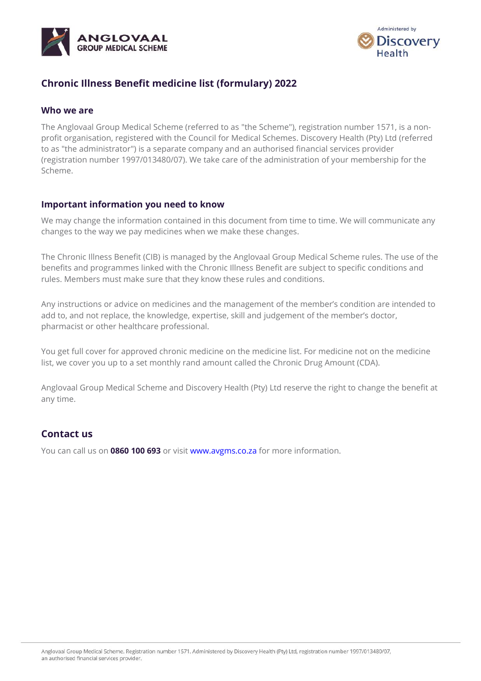



## **Chronic Illness Benefit medicine list (formulary) 2022**

#### **Who we are**

The Anglovaal Group Medical Scheme (referred to as "the Scheme"), registration number 1571, is a nonprofit organisation, registered with the Council for Medical Schemes. Discovery Health (Pty) Ltd (referred to as "the administrator") is a separate company and an authorised financial services provider (registration number 1997/013480/07). We take care of the administration of your membership for the Scheme.

### **Important information you need to know**

We may change the information contained in this document from time to time. We will communicate any changes to the way we pay medicines when we make these changes.

The Chronic Illness Benefit (CIB) is managed by the Anglovaal Group Medical Scheme rules. The use of the benefits and programmes linked with the Chronic Illness Benefit are subject to specific conditions and rules. Members must make sure that they know these rules and conditions.

Any instructions or advice on medicines and the management of the member's condition are intended to add to, and not replace, the knowledge, expertise, skill and judgement of the member's doctor, pharmacist or other healthcare professional.

You get full cover for approved chronic medicine on the medicine list. For medicine not on the medicine list, we cover you up to a set monthly rand amount called the Chronic Drug Amount (CDA).

Anglovaal Group Medical Scheme and Discovery Health (Pty) Ltd reserve the right to change the benefit at any time.

## **Contact us**

You can call us on **0860 100 693** or visit www.avgms.co.za for more information.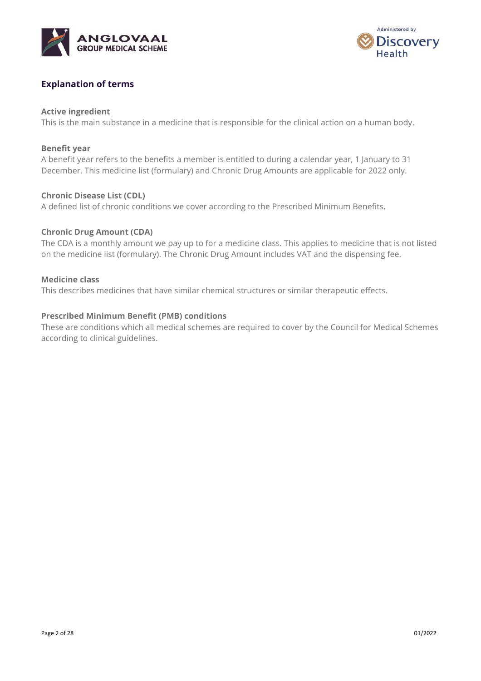



### **Explanation of terms**

#### **Active ingredient**

This is the main substance in a medicine that is responsible for the clinical action on a human body.

#### **Benefit year**

A benefit year refers to the benefits a member is entitled to during a calendar year, 1 January to 31 December. This medicine list (formulary) and Chronic Drug Amounts are applicable for 2022 only.

#### **Chronic Disease List (CDL)**

A defined list of chronic conditions we cover according to the Prescribed Minimum Benefits.

#### **Chronic Drug Amount (CDA)**

The CDA is a monthly amount we pay up to for a medicine class. This applies to medicine that is not listed on the medicine list (formulary). The Chronic Drug Amount includes VAT and the dispensing fee.

#### **Medicine class**

This describes medicines that have similar chemical structures or similar therapeutic effects.

#### **Prescribed Minimum Benefit (PMB) conditions**

These are conditions which all medical schemes are required to cover by the Council for Medical Schemes according to clinical guidelines.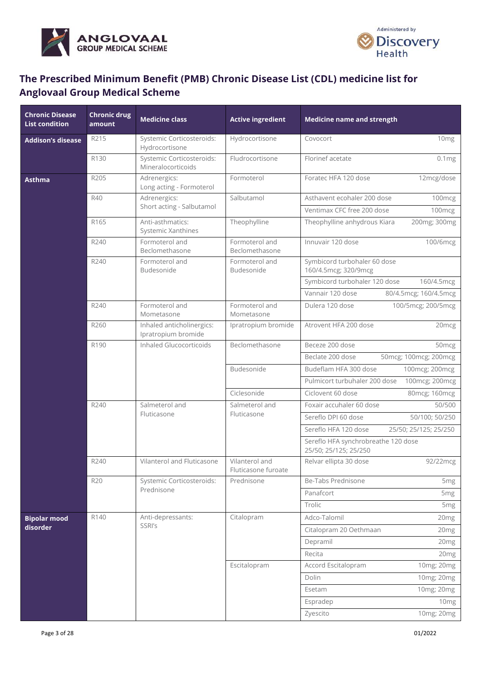



# **The Prescribed Minimum Benefit (PMB) Chronic Disease List (CDL) medicine list for Anglovaal Group Medical Scheme**

| <b>Chronic Disease</b><br><b>List condition</b> | <b>Chronic drug</b><br>amount | <b>Medicine class</b>                            | <b>Active ingredient</b>              | <b>Medicine name and strength</b>                            |
|-------------------------------------------------|-------------------------------|--------------------------------------------------|---------------------------------------|--------------------------------------------------------------|
| <b>Addison's disease</b>                        | R215                          | Systemic Corticosteroids:<br>Hydrocortisone      | Hydrocortisone                        | 10 <sub>mg</sub><br>Covocort                                 |
|                                                 | R130                          | Systemic Corticosteroids:<br>Mineralocorticoids  | Fludrocortisone                       | Florinef acetate<br>0.1mg                                    |
| <b>Asthma</b>                                   | R205                          | Adrenergics:<br>Long acting - Formoterol         | Formoterol                            | Foratec HFA 120 dose<br>12mcg/dose                           |
|                                                 | R40                           | Adrenergics:                                     | Salbutamol                            | Asthavent ecohaler 200 dose<br>100mcg                        |
|                                                 |                               | Short acting - Salbutamol                        |                                       | Ventimax CFC free 200 dose<br>100 <sub>mcg</sub>             |
|                                                 | R165                          | Anti-asthmatics:<br>Systemic Xanthines           | Theophylline                          | Theophylline anhydrous Kiara<br>200mg; 300mg                 |
|                                                 | R240                          | Formoterol and<br>Beclomethasone                 | Formoterol and<br>Beclomethasone      | Innuvair 120 dose<br>100/6mcg                                |
|                                                 | R240                          | Formoterol and<br>Budesonide                     | Formoterol and<br>Budesonide          | Symbicord turbohaler 60 dose<br>160/4.5mcg; 320/9mcg         |
|                                                 |                               |                                                  |                                       | Symbicord turbohaler 120 dose<br>160/4.5mcg                  |
|                                                 |                               |                                                  |                                       | Vannair 120 dose<br>80/4.5mcg; 160/4.5mcg                    |
|                                                 | R240                          | Formoterol and<br>Mometasone                     | Formoterol and<br>Mometasone          | Dulera 120 dose<br>100/5mcg; 200/5mcg                        |
|                                                 | R260                          | Inhaled anticholinergics:<br>Ipratropium bromide | Ipratropium bromide                   | Atrovent HFA 200 dose<br>20 <sub>mcg</sub>                   |
|                                                 | R190                          | <b>Inhaled Glucocorticoids</b>                   | Beclomethasone                        | Beceze 200 dose<br>50 <sub>mcg</sub>                         |
|                                                 |                               |                                                  |                                       | Beclate 200 dose<br>50mcg; 100mcg; 200mcg                    |
|                                                 |                               |                                                  | Budesonide                            | Budeflam HFA 300 dose<br>100mcg; 200mcg                      |
|                                                 |                               |                                                  |                                       | Pulmicort turbuhaler 200 dose<br>100mcg; 200mcg              |
|                                                 |                               |                                                  | Ciclesonide                           | Ciclovent 60 dose<br>80mcg; 160mcg                           |
|                                                 | R240                          | Salmeterol and                                   | Salmeterol and                        | Foxair accuhaler 60 dose<br>50/500                           |
|                                                 |                               | Fluticasone                                      | Fluticasone                           | Sereflo DPI 60 dose<br>50/100; 50/250                        |
|                                                 |                               |                                                  |                                       | Sereflo HFA 120 dose<br>25/50; 25/125; 25/250                |
|                                                 |                               |                                                  |                                       | Sereflo HFA synchrobreathe 120 dose<br>25/50; 25/125; 25/250 |
|                                                 | R240                          | Vilanterol and Fluticasone                       | Vilanterol and<br>Fluticasone furoate | Relvar ellipta 30 dose<br>92/22mcg                           |
|                                                 | <b>R20</b>                    | Systemic Corticosteroids:                        | Prednisone                            | Be-Tabs Prednisone<br>5 <sub>mg</sub>                        |
|                                                 |                               | Prednisone                                       |                                       | Panafcort<br>5 <sub>mg</sub>                                 |
|                                                 |                               |                                                  |                                       | Trolic<br>5 <sub>mg</sub>                                    |
| <b>Bipolar mood</b>                             | R140                          | Anti-depressants:                                | Citalopram                            | Adco-Talomil<br>20 <sub>mg</sub>                             |
| disorder                                        |                               | SSRI's                                           |                                       | Citalopram 20 Oethmaan<br>20 <sub>mg</sub>                   |
|                                                 |                               |                                                  |                                       | Depramil<br>20 <sub>mg</sub>                                 |
|                                                 |                               |                                                  |                                       | Recita<br>20mg                                               |
|                                                 |                               |                                                  | Escitalopram                          | Accord Escitalopram<br>10mg; 20mg                            |
|                                                 |                               |                                                  |                                       | Dolin<br>10mg; 20mg                                          |
|                                                 |                               |                                                  |                                       | 10mg; 20mg<br>Esetam                                         |
|                                                 |                               |                                                  |                                       | 10 <sub>mg</sub><br>Espradep                                 |
|                                                 |                               |                                                  |                                       | Zyescito<br>10mg; 20mg                                       |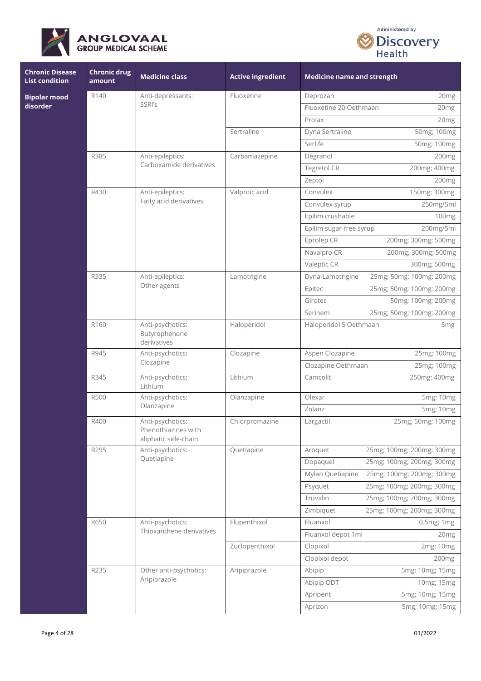



| <b>Chronic Disease</b><br><b>List condition</b> | <b>Chronic drug</b><br>amount | <b>Medicine class</b>                                           | <b>Active ingredient</b> | <b>Medicine name and strength</b>             |  |
|-------------------------------------------------|-------------------------------|-----------------------------------------------------------------|--------------------------|-----------------------------------------------|--|
| <b>Bipolar mood</b>                             | R140                          | Anti-depressants:                                               | Fluoxetine               | 20mg<br>Deprozan                              |  |
| disorder                                        |                               | SSRI's                                                          |                          | Fluoxetine 20 Oethmaan<br>20 <sub>mg</sub>    |  |
|                                                 |                               |                                                                 |                          | Prolax<br>20 <sub>mg</sub>                    |  |
|                                                 |                               |                                                                 | Sertraline               | Dyna Sertraline<br>50mg; 100mg                |  |
|                                                 |                               |                                                                 |                          | Serlife<br>50mg; 100mg                        |  |
|                                                 | R385                          | Anti-epileptics:                                                | Carbamazepine            | Degranol<br>200mg                             |  |
|                                                 |                               | Carboxamide derivatives                                         |                          | 200mg; 400mg<br>Tegretol CR                   |  |
|                                                 |                               |                                                                 |                          | Zeptol<br>200mg                               |  |
|                                                 | R430                          | Anti-epileptics:                                                | Valproic acid            | Convulex<br>150mg; 300mg                      |  |
|                                                 |                               | Fatty acid derivatives                                          |                          | Convulex syrup<br>250mg/5ml                   |  |
|                                                 |                               |                                                                 |                          | Epilim crushable<br>100mg                     |  |
|                                                 |                               |                                                                 |                          | Epilim sugar-free syrup<br>200mg/5ml          |  |
|                                                 |                               |                                                                 |                          | 200mg; 300mg; 500mg<br>Eprolep CR             |  |
|                                                 |                               |                                                                 |                          | Navalpro CR<br>200mg; 300mg; 500mg            |  |
|                                                 |                               |                                                                 |                          | Valeptic CR<br>300mg; 500mg                   |  |
|                                                 | R335                          | Anti-epileptics:                                                | Lamotrigine              | 25mg; 50mg; 100mg; 200mg<br>Dyna-Lamotrigine  |  |
|                                                 |                               | Other agents                                                    |                          | 25mg; 50mg; 100mg; 200mg<br>Epitec            |  |
|                                                 |                               |                                                                 |                          | 50mg; 100mg; 200mg<br>Girotec                 |  |
|                                                 |                               |                                                                 |                          | 25mg; 50mg; 100mg; 200mg<br>Serinem           |  |
|                                                 | R160                          | Anti-psychotics:<br>Butyrophenone<br>derivatives                | Haloperidol              | Haloperidol 5 Oethmaan<br>5 <sub>mg</sub>     |  |
|                                                 | R945                          | Anti-psychotics:<br>Clozapine                                   | Clozapine                | Aspen Clozapine<br>25mg; 100mg                |  |
|                                                 |                               |                                                                 |                          | Clozapine Oethmaan<br>25mg; 100mg             |  |
|                                                 | R345                          | Anti-psychotics:<br>Lithium                                     | Lithium                  | Camcolit<br>250mg; 400mg                      |  |
|                                                 | <b>R500</b>                   | Anti-psychotics:<br>Olanzapine                                  | Olanzapine               | Olexar<br>5mg; 10mg                           |  |
|                                                 |                               |                                                                 |                          | Zolanz<br>5mg; 10mg                           |  |
|                                                 | R400                          | Anti-psychotics:<br>Phenothiazines with<br>aliphatic side-chain | Chlorpromazine           | 25mg; 50mg; 100mg<br>Largactil                |  |
|                                                 | R295                          | Anti-psychotics:                                                | Quetiapine               | 25mg; 100mg; 200mg; 300mg<br>Aroquet          |  |
|                                                 |                               | Quetiapine                                                      |                          | Dopaquel<br>25mg; 100mg; 200mg; 300mg         |  |
|                                                 |                               |                                                                 |                          | Mylan Quetiapine<br>25mg; 100mg; 200mg; 300mg |  |
|                                                 |                               |                                                                 |                          | 25mg; 100mg; 200mg; 300mg<br>Psyquet          |  |
|                                                 |                               |                                                                 |                          | Truvalin<br>25mg; 100mg; 200mg; 300mg         |  |
|                                                 |                               |                                                                 |                          | Zimbiquet<br>25mg; 100mg; 200mg; 300mg        |  |
|                                                 | R650                          | Anti-psychotics:                                                | Flupenthixol             | Fluanxol<br>0.5mg; 1mg                        |  |
|                                                 |                               | Thioxanthene derivatives                                        |                          | Fluanxol depot 1ml<br>20 <sub>mg</sub>        |  |
|                                                 |                               |                                                                 | Zuclopenthixol           | Clopixol<br>2mg; 10mg                         |  |
|                                                 |                               |                                                                 |                          | Clopixol depot<br>200mg                       |  |
|                                                 | R235                          | Other anti-psychotics:                                          | Aripiprazole             | Abipip<br>5mg; 10mg; 15mg                     |  |
|                                                 |                               | Aripiprazole                                                    |                          | Abipip ODT<br>10mg; 15mg                      |  |
|                                                 |                               |                                                                 |                          | 5mg; 10mg; 15mg<br>Apripent                   |  |
|                                                 |                               |                                                                 |                          | Aprizon<br>5mg; 10mg; 15mg                    |  |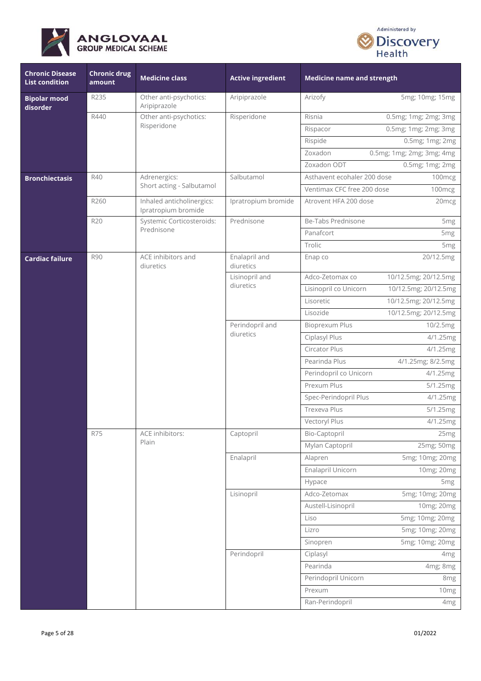



| <b>Chronic Disease</b><br><b>List condition</b> | <b>Chronic drug</b><br>amount | <b>Medicine class</b>                            | <b>Active ingredient</b>     | <b>Medicine name and strength</b>             |                   |
|-------------------------------------------------|-------------------------------|--------------------------------------------------|------------------------------|-----------------------------------------------|-------------------|
| <b>Bipolar mood</b><br>disorder                 | R235                          | Other anti-psychotics:<br>Aripiprazole           | Aripiprazole                 | Arizofy<br>5mg; 10mg; 15mg                    |                   |
|                                                 | R440                          | Other anti-psychotics:                           | Risperidone                  | 0.5mg; 1mg; 2mg; 3mg<br>Risnia                |                   |
|                                                 |                               | Risperidone                                      |                              | 0.5mg; 1mg; 2mg; 3mg<br>Rispacor              |                   |
|                                                 |                               |                                                  |                              | Rispide<br>0.5mg; 1mg; 2mg                    |                   |
|                                                 |                               |                                                  |                              | Zoxadon<br>0.5mg; 1mg; 2mg; 3mg; 4mg          |                   |
|                                                 |                               |                                                  |                              | Zoxadon ODT<br>0.5mg; 1mg; 2mg                |                   |
| <b>Bronchiectasis</b>                           | R40                           | Adrenergics:                                     | Salbutamol                   | Asthavent ecohaler 200 dose<br>100mcg         |                   |
|                                                 |                               | Short acting - Salbutamol                        |                              | Ventimax CFC free 200 dose<br>100mcg          |                   |
|                                                 | R260                          | Inhaled anticholinergics:<br>Ipratropium bromide | Ipratropium bromide          | Atrovent HFA 200 dose                         | 20 <sub>mcg</sub> |
|                                                 | R20                           | Systemic Corticosteroids:                        | Prednisone                   | Be-Tabs Prednisone                            | 5 <sub>mg</sub>   |
|                                                 |                               | Prednisone                                       |                              | Panafcort                                     | 5 <sub>mg</sub>   |
|                                                 |                               |                                                  |                              | Trolic                                        | 5mg               |
| <b>Cardiac failure</b>                          | <b>R90</b>                    | ACE inhibitors and<br>diuretics                  | Enalapril and<br>diuretics   | 20/12.5mg<br>Enap co                          |                   |
|                                                 |                               |                                                  | Lisinopril and               | Adco-Zetomax co<br>10/12.5mg; 20/12.5mg       |                   |
|                                                 |                               |                                                  | diuretics                    | Lisinopril co Unicorn<br>10/12.5mg; 20/12.5mg |                   |
|                                                 |                               |                                                  |                              | Lisoretic<br>10/12.5mg; 20/12.5mg             |                   |
|                                                 |                               |                                                  |                              | Lisozide<br>10/12.5mg; 20/12.5mg              |                   |
|                                                 |                               |                                                  | Perindopril and<br>diuretics | Bioprexum Plus<br>10/2.5mg                    |                   |
|                                                 |                               |                                                  |                              | Ciplasyl Plus<br>4/1.25mg                     |                   |
|                                                 |                               |                                                  |                              | Circator Plus<br>4/1.25mg                     |                   |
|                                                 |                               |                                                  |                              | Pearinda Plus<br>4/1.25mg; 8/2.5mg            |                   |
|                                                 |                               |                                                  |                              | Perindopril co Unicorn<br>4/1.25mg            |                   |
|                                                 |                               |                                                  |                              | Prexum Plus<br>5/1.25mg                       |                   |
|                                                 |                               |                                                  |                              | Spec-Perindopril Plus<br>4/1.25mg             |                   |
|                                                 |                               |                                                  |                              | <b>Trexeva Plus</b><br>5/1.25mg               |                   |
|                                                 |                               |                                                  |                              | Vectoryl Plus<br>4/1.25mg                     |                   |
|                                                 | <b>R75</b>                    | ACE inhibitors:<br>Plain                         | Captopril                    | Bio-Captopril                                 | 25mg              |
|                                                 |                               |                                                  |                              | Mylan Captopril<br>25mg; 50mg                 |                   |
|                                                 |                               |                                                  | Enalapril                    | 5mg; 10mg; 20mg<br>Alapren                    |                   |
|                                                 |                               |                                                  |                              | Enalapril Unicorn<br>10mg; 20mg               |                   |
|                                                 |                               |                                                  |                              | Hypace                                        | 5 <sub>mg</sub>   |
|                                                 |                               |                                                  | Lisinopril                   | Adco-Zetomax<br>5mg; 10mg; 20mg               |                   |
|                                                 |                               |                                                  |                              | Austell-Lisinopril<br>10mg; 20mg              |                   |
|                                                 |                               |                                                  |                              | 5mg; 10mg; 20mg<br>Liso                       |                   |
|                                                 |                               |                                                  |                              | Lizro<br>5mg; 10mg; 20mg                      |                   |
|                                                 |                               |                                                  |                              | 5mg; 10mg; 20mg<br>Sinopren                   |                   |
|                                                 |                               |                                                  | Perindopril                  | Ciplasyl                                      | 4mg               |
|                                                 |                               |                                                  |                              | Pearinda<br>4mg; 8mg                          |                   |
|                                                 |                               |                                                  |                              | Perindopril Unicorn                           | 8mg               |
|                                                 |                               |                                                  |                              | Prexum                                        | 10mg              |
|                                                 |                               |                                                  |                              | Ran-Perindopril                               | 4mg               |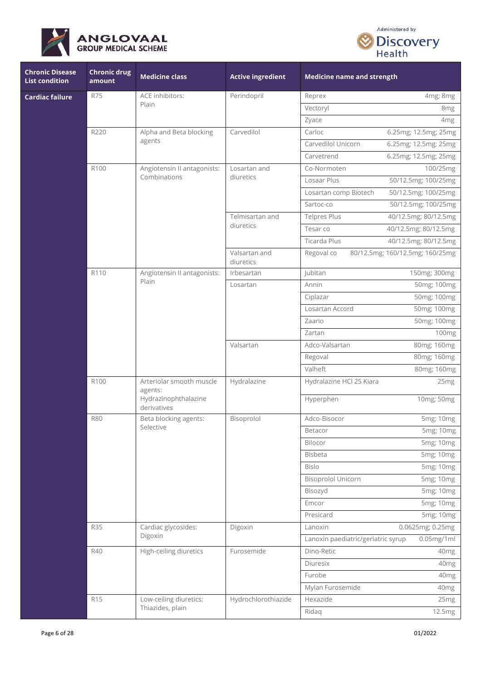



| <b>Chronic Disease</b><br><b>List condition</b> | <b>Chronic drug</b><br>amount | <b>Medicine class</b>                                                      | <b>Active ingredient</b>   | <b>Medicine name and strength</b>                   |  |
|-------------------------------------------------|-------------------------------|----------------------------------------------------------------------------|----------------------------|-----------------------------------------------------|--|
| <b>Cardiac failure</b>                          | <b>R75</b>                    | ACE inhibitors:                                                            | Perindopril                | 4mg; 8mg<br>Reprex                                  |  |
|                                                 |                               | Plain                                                                      |                            | Vectoryl<br>8mg                                     |  |
|                                                 |                               |                                                                            |                            | Zyace<br>4mg                                        |  |
|                                                 | R220                          | Alpha and Beta blocking                                                    | Carvedilol                 | Carloc<br>6.25mg; 12.5mg; 25mg                      |  |
|                                                 |                               | agents                                                                     |                            | Carvedilol Unicorn<br>6.25mg; 12.5mg; 25mg          |  |
|                                                 |                               |                                                                            |                            | 6.25mg; 12.5mg; 25mg<br>Carvetrend                  |  |
|                                                 | R100                          | Angiotensin II antagonists:                                                | Losartan and               | Co-Normoten<br>100/25mg                             |  |
|                                                 |                               | Combinations                                                               | diuretics                  | Losaar Plus<br>50/12.5mg; 100/25mg                  |  |
|                                                 |                               |                                                                            |                            | Losartan comp Biotech<br>50/12.5mg; 100/25mg        |  |
|                                                 |                               |                                                                            |                            | 50/12.5mg; 100/25mg<br>Sartoc-co                    |  |
|                                                 |                               |                                                                            | Telmisartan and            | <b>Telpres Plus</b><br>40/12.5mg; 80/12.5mg         |  |
|                                                 |                               |                                                                            | diuretics                  | Tesar co<br>40/12.5mg; 80/12.5mg                    |  |
|                                                 |                               |                                                                            |                            | Ticarda Plus<br>40/12.5mg; 80/12.5mg                |  |
|                                                 |                               |                                                                            | Valsartan and<br>diuretics | Regoval co<br>80/12.5mg; 160/12.5mg; 160/25mg       |  |
|                                                 | R <sub>110</sub>              | Angiotensin II antagonists:                                                | Irbesartan                 | Jubitan<br>150mg; 300mg                             |  |
|                                                 |                               | Plain                                                                      | Losartan                   | Annin<br>50mg; 100mg                                |  |
|                                                 |                               |                                                                            |                            | Ciplazar<br>50mg; 100mg                             |  |
|                                                 |                               |                                                                            |                            | Losartan Accord<br>50mg; 100mg                      |  |
|                                                 |                               |                                                                            |                            | Zaario<br>50mg; 100mg                               |  |
|                                                 |                               |                                                                            |                            | Zartan<br>100 <sub>mg</sub>                         |  |
|                                                 |                               |                                                                            | Valsartan                  | Adco-Valsartan<br>80mg; 160mg                       |  |
|                                                 |                               |                                                                            |                            | 80mg; 160mg<br>Regoval                              |  |
|                                                 |                               |                                                                            |                            | Valheft<br>80mg; 160mg                              |  |
|                                                 | R100                          | Arteriolar smooth muscle<br>agents:<br>Hydrazinophthalazine<br>derivatives | Hydralazine                | Hydralazine HCl 25 Kiara<br>25 <sub>mg</sub>        |  |
|                                                 |                               |                                                                            |                            | Hyperphen<br>10mg; 50mg                             |  |
|                                                 | <b>R80</b>                    | Beta blocking agents:                                                      | Bisoprolol                 | Adco-Bisocor<br>5mg; 10mg                           |  |
|                                                 |                               | Selective                                                                  |                            | Betacor<br>5mg; 10mg                                |  |
|                                                 |                               |                                                                            |                            | 5mg; 10mg<br><b>Bilocor</b>                         |  |
|                                                 |                               |                                                                            |                            | Bisbeta<br>5mg; 10mg                                |  |
|                                                 |                               |                                                                            |                            | <b>Bislo</b><br>5mg; 10mg                           |  |
|                                                 |                               |                                                                            |                            | <b>Bisoprolol Unicorn</b><br>5mg; 10mg              |  |
|                                                 |                               |                                                                            |                            | 5mg; 10mg<br>Bisozyd                                |  |
|                                                 |                               |                                                                            |                            | 5mg; 10mg<br>Emcor                                  |  |
|                                                 |                               |                                                                            |                            | 5mg; 10mg<br>Presicard                              |  |
|                                                 | <b>R35</b>                    | Cardiac glycosides:                                                        | Digoxin                    | 0.0625mg; 0.25mg<br>Lanoxin                         |  |
|                                                 |                               | Digoxin                                                                    |                            | $0.05$ mg/1ml<br>Lanoxin paediatric/geriatric syrup |  |
|                                                 | R40                           | High-ceiling diuretics                                                     | Furosemide                 | Dino-Retic<br>40mg                                  |  |
|                                                 |                               |                                                                            |                            | Diuresix<br>40 <sub>mg</sub>                        |  |
|                                                 |                               |                                                                            |                            | Furobe<br>40 <sub>mg</sub>                          |  |
|                                                 |                               |                                                                            |                            | Mylan Furosemide<br>40mg                            |  |
|                                                 | <b>R15</b>                    | Low-ceiling diuretics:                                                     | Hydrochlorothiazide        | Hexazide<br>25mg                                    |  |
|                                                 |                               | Thiazides, plain                                                           |                            | Ridaq<br>12.5mg                                     |  |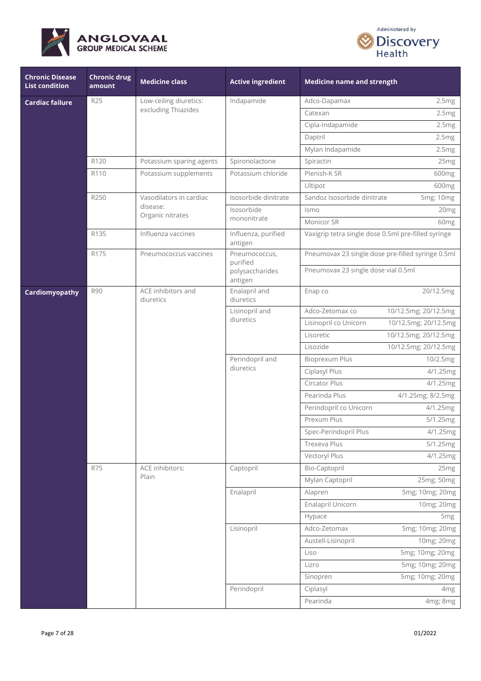



| <b>Chronic Disease</b><br><b>List condition</b> | <b>Chronic drug</b><br>amount | <b>Medicine class</b>           | <b>Active ingredient</b>       | <b>Medicine name and strength</b>                   |                      |
|-------------------------------------------------|-------------------------------|---------------------------------|--------------------------------|-----------------------------------------------------|----------------------|
| <b>Cardiac failure</b>                          | <b>R25</b>                    | Low-ceiling diuretics:          | Indapamide                     | Adco-Dapamax                                        | 2.5mg                |
|                                                 |                               | excluding Thiazides             |                                | Catexan                                             | 2.5mg                |
|                                                 |                               |                                 |                                | Cipla-Indapamide                                    | 2.5mg                |
|                                                 |                               |                                 |                                | Daptril                                             | 2.5mg                |
|                                                 |                               |                                 |                                | Mylan Indapamide                                    | 2.5mg                |
|                                                 | R120                          | Potassium sparing agents        | Spironolactone                 | Spiractin                                           | 25 <sub>mg</sub>     |
|                                                 | R <sub>110</sub>              | Potassium supplements           | Potassium chloride             | Plenish-K SR                                        | 600 <sub>mg</sub>    |
|                                                 |                               |                                 |                                | Ultipot                                             | 600mg                |
|                                                 | R250                          | Vasodilators in cardiac         | Isosorbide dinitrate           | Sandoz Isosorbide dinitrate                         | 5mg; 10mg            |
|                                                 |                               | disease:<br>Organic nitrates    | Isosorbide                     | Ismo                                                | 20 <sub>mg</sub>     |
|                                                 |                               |                                 | mononitrate                    | Monicor SR                                          | 60 <sub>mg</sub>     |
|                                                 | R135                          | Influenza vaccines              | Influenza, purified<br>antigen | Vaxigrip tetra single dose 0.5ml pre-filled syringe |                      |
|                                                 | R175                          | Pneumococcus vaccines           | Pneumococcus,<br>purified      | Pneumovax 23 single dose pre-filled syringe 0.5ml   |                      |
|                                                 |                               |                                 | polysaccharides<br>antigen     | Pneumovax 23 single dose vial 0.5ml                 |                      |
| Cardiomyopathy                                  | <b>R90</b>                    | ACE inhibitors and<br>diuretics | Enalapril and<br>diuretics     | Enap co                                             | 20/12.5mg            |
|                                                 |                               |                                 | Lisinopril and<br>diuretics    | Adco-Zetomax co                                     | 10/12.5mg; 20/12.5mg |
|                                                 |                               |                                 |                                | Lisinopril co Unicorn                               | 10/12.5mg; 20/12.5mg |
|                                                 |                               |                                 |                                | Lisoretic                                           | 10/12.5mg; 20/12.5mg |
|                                                 |                               |                                 |                                | Lisozide                                            | 10/12.5mg; 20/12.5mg |
|                                                 |                               |                                 | Perindopril and<br>diuretics   | <b>Bioprexum Plus</b>                               | 10/2.5mg             |
|                                                 |                               |                                 |                                | Ciplasyl Plus                                       | 4/1.25mg             |
|                                                 |                               |                                 |                                | Circator Plus                                       | 4/1.25mg             |
|                                                 |                               |                                 |                                | Pearinda Plus                                       | 4/1.25mg; 8/2.5mg    |
|                                                 |                               |                                 |                                | Perindopril co Unicorn                              | 4/1.25mg             |
|                                                 |                               |                                 |                                | Prexum Plus                                         | 5/1.25mg             |
|                                                 |                               |                                 |                                | Spec-Perindopril Plus                               | 4/1.25mg             |
|                                                 |                               |                                 |                                | Trexeva Plus                                        | 5/1.25mg             |
|                                                 |                               |                                 |                                | Vectoryl Plus                                       | 4/1.25mg             |
|                                                 | <b>R75</b>                    | ACE inhibitors:                 | Captopril                      | Bio-Captopril                                       | 25 <sub>mg</sub>     |
|                                                 |                               | Plain                           |                                | Mylan Captopril                                     | 25mg; 50mg           |
|                                                 |                               |                                 | Enalapril                      | Alapren                                             | 5mg; 10mg; 20mg      |
|                                                 |                               |                                 |                                | Enalapril Unicorn                                   | 10mg; 20mg           |
|                                                 |                               |                                 |                                | Hypace                                              | 5 <sub>mg</sub>      |
|                                                 |                               |                                 | Lisinopril                     | Adco-Zetomax                                        | 5mg; 10mg; 20mg      |
|                                                 |                               |                                 |                                | Austell-Lisinopril                                  | 10mg; 20mg           |
|                                                 |                               |                                 |                                | Liso                                                | 5mg; 10mg; 20mg      |
|                                                 |                               |                                 |                                | Lizro                                               | 5mg; 10mg; 20mg      |
|                                                 |                               |                                 |                                | Sinopren                                            | 5mg; 10mg; 20mg      |
|                                                 |                               |                                 | Perindopril                    | Ciplasyl                                            | 4mg                  |
|                                                 |                               |                                 |                                | Pearinda                                            | 4mg; 8mg             |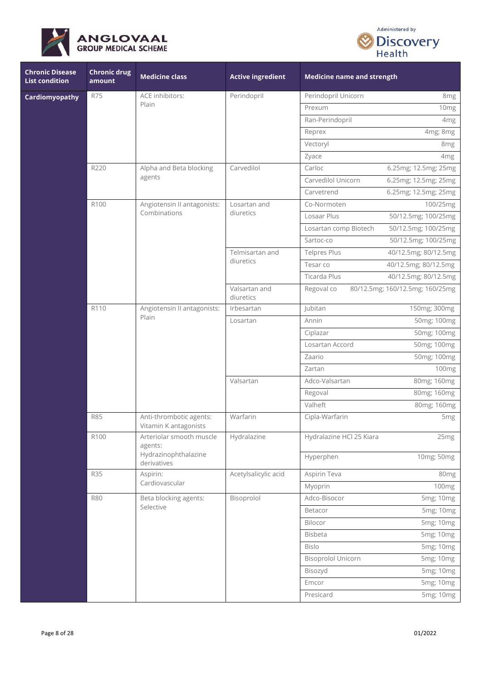



| <b>Chronic Disease</b><br><b>List condition</b> | <b>Chronic drug</b><br>amount | <b>Medicine class</b>                            | <b>Active ingredient</b>   | <b>Medicine name and strength</b> |                                 |
|-------------------------------------------------|-------------------------------|--------------------------------------------------|----------------------------|-----------------------------------|---------------------------------|
| Cardiomyopathy                                  | <b>R75</b>                    | ACE inhibitors:                                  | Perindopril                | Perindopril Unicorn               | 8 <sub>mg</sub>                 |
|                                                 |                               | Plain                                            |                            | Prexum                            | 10mg                            |
|                                                 |                               |                                                  |                            | Ran-Perindopril                   | 4 <sub>mg</sub>                 |
|                                                 |                               |                                                  |                            | Reprex                            | 4mg; 8mg                        |
|                                                 |                               |                                                  |                            | Vectoryl                          | 8 <sub>mg</sub>                 |
|                                                 |                               |                                                  |                            | Zyace                             | 4 <sub>mg</sub>                 |
|                                                 | R220                          | Alpha and Beta blocking                          | Carvedilol                 | Carloc                            | 6.25mg; 12.5mg; 25mg            |
|                                                 |                               | agents                                           |                            | Carvedilol Unicorn                | 6.25mg; 12.5mg; 25mg            |
|                                                 |                               |                                                  |                            | Carvetrend                        | 6.25mg; 12.5mg; 25mg            |
|                                                 | R100                          | Angiotensin II antagonists:                      | Losartan and               | Co-Normoten                       | 100/25mg                        |
|                                                 |                               | Combinations                                     | diuretics                  | Losaar Plus                       | 50/12.5mg; 100/25mg             |
|                                                 |                               |                                                  |                            | Losartan comp Biotech             | 50/12.5mg; 100/25mg             |
|                                                 |                               |                                                  |                            | Sartoc-co                         | 50/12.5mg; 100/25mg             |
|                                                 |                               |                                                  | Telmisartan and            | Telpres Plus                      | 40/12.5mg; 80/12.5mg            |
|                                                 |                               |                                                  | diuretics                  | Tesar co                          | 40/12.5mg; 80/12.5mg            |
|                                                 |                               |                                                  |                            | Ticarda Plus                      | 40/12.5mg; 80/12.5mg            |
|                                                 |                               |                                                  | Valsartan and<br>diuretics | Regoval co                        | 80/12.5mg; 160/12.5mg; 160/25mg |
|                                                 | R110                          | Angiotensin II antagonists:<br>Plain             | Irbesartan                 | Jubitan                           | 150mg; 300mg                    |
|                                                 |                               |                                                  | Losartan<br>Valsartan      | Annin                             | 50mg; 100mg                     |
|                                                 |                               |                                                  |                            | Ciplazar                          | 50mg; 100mg                     |
|                                                 |                               |                                                  |                            | Losartan Accord                   | 50mg; 100mg                     |
|                                                 |                               |                                                  |                            | Zaario                            | 50mg; 100mg                     |
|                                                 |                               |                                                  |                            | Zartan                            | 100mg                           |
|                                                 |                               |                                                  |                            | Adco-Valsartan                    | 80mg; 160mg                     |
|                                                 |                               |                                                  |                            | Regoval                           | 80mg; 160mg                     |
|                                                 |                               |                                                  |                            | Valheft                           | 80mg; 160mg                     |
|                                                 | <b>R85</b>                    | Anti-thrombotic agents:<br>Vitamin K antagonists | Warfarin                   | Cipla-Warfarin                    | 5 <sub>mg</sub>                 |
|                                                 | R100                          | Arteriolar smooth muscle<br>agents:              | Hydralazine                | Hydralazine HCl 25 Kiara          | 25mg                            |
|                                                 |                               | Hydrazinophthalazine<br>derivatives              |                            | Hyperphen                         | 10mg; 50mg                      |
|                                                 | <b>R35</b>                    | Aspirin:<br>Cardiovascular                       | Acetylsalicylic acid       | Aspirin Teva                      | 80 <sub>mg</sub>                |
|                                                 |                               |                                                  |                            | Myoprin                           | 100mg                           |
|                                                 | <b>R80</b>                    | Beta blocking agents:<br>Selective               | Bisoprolol                 | Adco-Bisocor                      | 5mg; 10mg                       |
|                                                 |                               |                                                  |                            | Betacor                           | 5mg; 10mg                       |
|                                                 |                               |                                                  |                            | Bilocor                           | 5mg; 10mg                       |
|                                                 |                               |                                                  |                            | <b>Bisbeta</b>                    | 5mg; 10mg                       |
|                                                 |                               |                                                  |                            | <b>Bislo</b>                      | 5mg; 10mg                       |
|                                                 |                               |                                                  |                            | <b>Bisoprolol Unicorn</b>         | 5mg; 10mg                       |
|                                                 |                               |                                                  |                            | Bisozyd                           | 5mg; 10mg                       |
|                                                 |                               |                                                  |                            | Emcor                             | 5mg; 10mg                       |
|                                                 |                               |                                                  |                            | Presicard                         | 5mg; 10mg                       |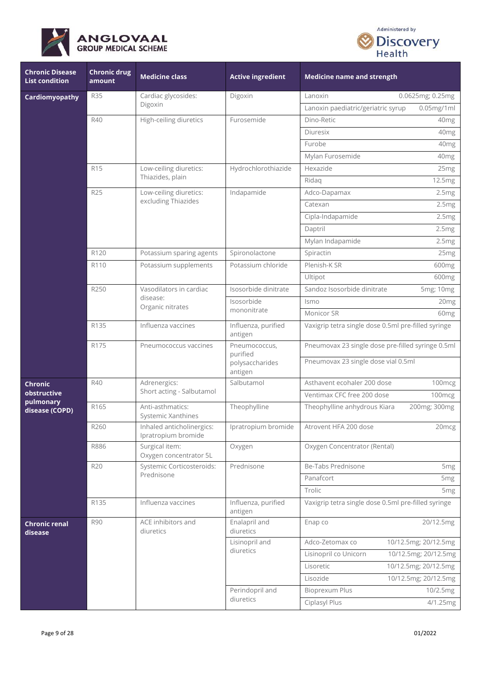



| <b>Chronic Disease</b><br><b>List condition</b> | <b>Chronic drug</b><br>amount | <b>Medicine class</b>                                   | <b>Active ingredient</b>       | <b>Medicine name and strength</b>                   |
|-------------------------------------------------|-------------------------------|---------------------------------------------------------|--------------------------------|-----------------------------------------------------|
| Cardiomyopathy                                  | <b>R35</b>                    | Cardiac glycosides:                                     | Digoxin                        | 0.0625mg; 0.25mg<br>Lanoxin                         |
|                                                 |                               | Digoxin                                                 |                                | $0.05$ mg/1ml<br>Lanoxin paediatric/geriatric syrup |
|                                                 | R40                           | High-ceiling diuretics                                  | Furosemide                     | Dino-Retic<br>40 <sub>mg</sub>                      |
|                                                 |                               |                                                         |                                | Diuresix<br>40 <sub>mg</sub>                        |
|                                                 |                               |                                                         |                                | Furobe<br>40 <sub>mg</sub>                          |
|                                                 |                               |                                                         |                                | Mylan Furosemide<br>40mg                            |
|                                                 | R <sub>15</sub>               | Low-ceiling diuretics:                                  | Hydrochlorothiazide            | Hexazide<br>25mg                                    |
|                                                 |                               | Thiazides, plain                                        |                                | Ridag<br>12.5mg                                     |
|                                                 | R25                           | Low-ceiling diuretics:                                  | Indapamide                     | Adco-Dapamax<br>2.5mg                               |
|                                                 |                               | excluding Thiazides                                     |                                | Catexan<br>2.5mg                                    |
|                                                 |                               |                                                         |                                | Cipla-Indapamide<br>2.5mg                           |
|                                                 |                               |                                                         |                                | Daptril<br>2.5mg                                    |
|                                                 |                               |                                                         |                                | Mylan Indapamide<br>2.5mg                           |
|                                                 | R120                          | Potassium sparing agents                                | Spironolactone                 | Spiractin<br>25mg                                   |
|                                                 | R110                          | Potassium supplements                                   | Potassium chloride             | Plenish-K SR<br>600mg                               |
|                                                 |                               |                                                         |                                | Ultipot<br>600 <sub>mg</sub>                        |
|                                                 | R250                          | Vasodilators in cardiac<br>disease:<br>Organic nitrates | Isosorbide dinitrate           | Sandoz Isosorbide dinitrate<br>5mg; 10mg            |
|                                                 |                               |                                                         | Isosorbide<br>mononitrate      | Ismo<br>20 <sub>mg</sub>                            |
|                                                 |                               |                                                         |                                | Monicor SR<br>60 <sub>mg</sub>                      |
|                                                 | R135                          | Influenza vaccines                                      | Influenza, purified<br>antigen | Vaxigrip tetra single dose 0.5ml pre-filled syringe |
|                                                 | R175                          | Pneumococcus vaccines                                   | Pneumococcus,<br>purified      | Pneumovax 23 single dose pre-filled syringe 0.5ml   |
|                                                 |                               |                                                         | polysaccharides<br>antigen     | Pneumovax 23 single dose vial 0.5ml                 |
| Chronic                                         | R40                           | Adrenergics:                                            | Salbutamol                     | Asthavent ecohaler 200 dose<br>100mcg               |
| obstructive<br>pulmonary                        |                               | Short acting - Salbutamol                               |                                | Ventimax CFC free 200 dose<br>100mcg                |
| disease (COPD)                                  | R165                          | Anti-asthmatics:<br>Systemic Xanthines                  | Theophylline                   | Theophylline anhydrous Kiara<br>200mg; 300mg        |
|                                                 | R260                          | Inhaled anticholinergics:<br>Ipratropium bromide        | Ipratropium bromide            | Atrovent HFA 200 dose<br>20mcg                      |
|                                                 | R886                          | Surgical item:<br>Oxygen concentrator 5L                | Oxygen                         | Oxygen Concentrator (Rental)                        |
|                                                 | <b>R20</b>                    | Systemic Corticosteroids:                               | Prednisone                     | Be-Tabs Prednisone<br>5 <sub>mg</sub>               |
|                                                 |                               | Prednisone                                              |                                | Panafcort<br>5 <sub>mg</sub>                        |
|                                                 |                               |                                                         |                                | Trolic<br>5 <sub>mg</sub>                           |
|                                                 | R135                          | Influenza vaccines                                      | Influenza, purified<br>antigen | Vaxigrip tetra single dose 0.5ml pre-filled syringe |
| <b>Chronic renal</b><br>disease                 | <b>R90</b>                    | ACE inhibitors and<br>diuretics                         | Enalapril and<br>diuretics     | 20/12.5mg<br>Enap co                                |
|                                                 |                               |                                                         | Lisinopril and                 | Adco-Zetomax co<br>10/12.5mg; 20/12.5mg             |
|                                                 |                               |                                                         | diuretics                      | Lisinopril co Unicorn<br>10/12.5mg; 20/12.5mg       |
|                                                 |                               |                                                         |                                | 10/12.5mg; 20/12.5mg<br>Lisoretic                   |
|                                                 |                               |                                                         |                                | Lisozide<br>10/12.5mg; 20/12.5mg                    |
|                                                 |                               |                                                         | Perindopril and                | Bioprexum Plus<br>10/2.5mg                          |
|                                                 |                               |                                                         | diuretics                      | Ciplasyl Plus<br>4/1.25mg                           |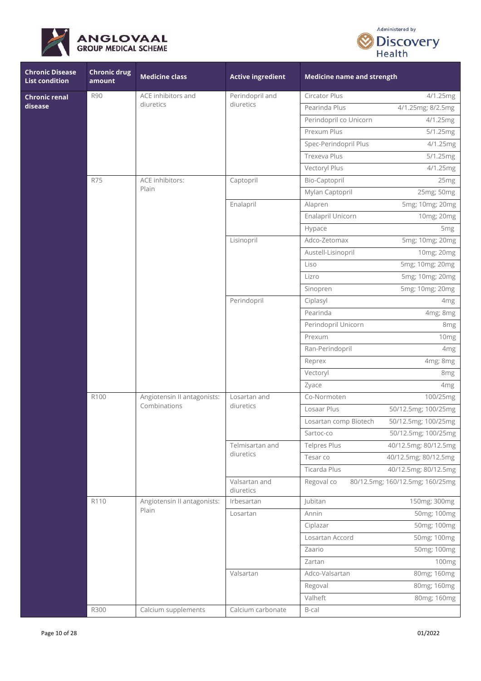



| <b>Chronic Disease</b><br><b>List condition</b> | <b>Chronic drug</b><br>amount | <b>Medicine class</b>                       | <b>Active ingredient</b>   | <b>Medicine name and strength</b> |                                 |
|-------------------------------------------------|-------------------------------|---------------------------------------------|----------------------------|-----------------------------------|---------------------------------|
| <b>Chronic renal</b>                            | <b>R90</b>                    | ACE inhibitors and                          | Perindopril and            | Circator Plus                     | 4/1.25mg                        |
| disease                                         |                               | diuretics                                   | diuretics                  | Pearinda Plus                     | 4/1.25mg; 8/2.5mg               |
|                                                 |                               |                                             |                            | Perindopril co Unicorn            | 4/1.25mg                        |
|                                                 |                               |                                             |                            | Prexum Plus                       | 5/1.25mg                        |
|                                                 |                               |                                             |                            | Spec-Perindopril Plus             | 4/1.25mg                        |
|                                                 |                               |                                             |                            | Trexeva Plus                      | 5/1.25mg                        |
|                                                 |                               |                                             |                            | Vectoryl Plus                     | 4/1.25mg                        |
|                                                 | <b>R75</b>                    | ACE inhibitors:                             | Captopril                  | Bio-Captopril                     | 25mg                            |
|                                                 |                               | Plain                                       |                            | Mylan Captopril                   | 25mg; 50mg                      |
|                                                 |                               |                                             | Enalapril                  | Alapren                           | 5mg; 10mg; 20mg                 |
|                                                 |                               |                                             |                            | Enalapril Unicorn                 | 10mg; 20mg                      |
|                                                 |                               |                                             |                            | Hypace                            | 5 <sub>mg</sub>                 |
|                                                 |                               |                                             | Lisinopril                 | Adco-Zetomax                      | 5mg; 10mg; 20mg                 |
|                                                 |                               |                                             |                            | Austell-Lisinopril                | 10mg; 20mg                      |
|                                                 |                               |                                             |                            | Liso                              | 5mg; 10mg; 20mg                 |
|                                                 |                               |                                             |                            | Lizro                             | 5mg; 10mg; 20mg                 |
|                                                 |                               |                                             |                            | Sinopren                          | 5mg; 10mg; 20mg                 |
|                                                 |                               |                                             | Perindopril                | Ciplasyl                          | 4 <sub>mg</sub>                 |
|                                                 |                               |                                             |                            | Pearinda                          | 4mg; 8mg                        |
|                                                 |                               |                                             |                            | Perindopril Unicorn               | 8 <sub>mg</sub>                 |
|                                                 |                               |                                             |                            | Prexum                            | 10mg                            |
|                                                 |                               |                                             |                            | Ran-Perindopril                   | 4 <sub>mg</sub>                 |
|                                                 |                               |                                             |                            | Reprex                            | 4mg; 8mg                        |
|                                                 |                               |                                             |                            | Vectoryl                          | 8 <sub>mg</sub>                 |
|                                                 |                               |                                             |                            | Zyace                             | 4 <sub>mg</sub>                 |
|                                                 | R100                          | Angiotensin II antagonists:<br>Combinations | Losartan and<br>diuretics  | Co-Normoten                       | 100/25mg                        |
|                                                 |                               |                                             |                            | Losaar Plus                       | 50/12.5mg; 100/25mg             |
|                                                 |                               |                                             |                            | Losartan comp Biotech             | 50/12.5mg; 100/25mg             |
|                                                 |                               |                                             |                            | Sartoc-co                         | 50/12.5mg; 100/25mg             |
|                                                 |                               |                                             | Telmisartan and            | Telpres Plus                      | 40/12.5mg; 80/12.5mg            |
|                                                 |                               |                                             | diuretics                  | Tesar co                          | 40/12.5mg; 80/12.5mg            |
|                                                 |                               |                                             |                            | Ticarda Plus                      | 40/12.5mg; 80/12.5mg            |
|                                                 |                               |                                             | Valsartan and<br>diuretics | Regoval co                        | 80/12.5mg; 160/12.5mg; 160/25mg |
|                                                 | R <sub>110</sub>              | Angiotensin II antagonists:                 | Irbesartan                 | Jubitan                           | 150mg; 300mg                    |
|                                                 |                               | Plain                                       | Losartan                   | Annin                             | 50mg; 100mg                     |
|                                                 |                               |                                             |                            | Ciplazar                          | 50mg; 100mg                     |
|                                                 |                               |                                             |                            | Losartan Accord                   | 50mg; 100mg                     |
|                                                 |                               |                                             |                            | Zaario                            | 50mg; 100mg                     |
|                                                 |                               |                                             |                            | Zartan                            | 100mg                           |
|                                                 |                               |                                             | Valsartan                  | Adco-Valsartan                    | 80mg; 160mg                     |
|                                                 |                               |                                             |                            | Regoval                           | 80mg; 160mg                     |
|                                                 |                               |                                             |                            | Valheft                           | 80mg; 160mg                     |
|                                                 | R300                          | Calcium supplements                         | Calcium carbonate          | B-cal                             |                                 |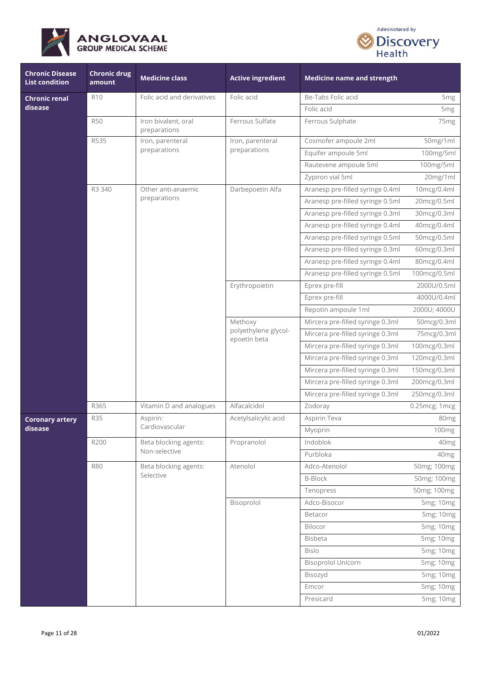



| <b>Chronic Disease</b><br><b>List condition</b> | <b>Chronic drug</b><br>amount | <b>Medicine class</b>               | <b>Active ingredient</b>                        | <b>Medicine name and strength</b> |                  |
|-------------------------------------------------|-------------------------------|-------------------------------------|-------------------------------------------------|-----------------------------------|------------------|
| <b>Chronic renal</b>                            | R <sub>10</sub>               | Folic acid and derivatives          | Folic acid                                      | Be-Tabs Folic acid                | 5 <sub>mg</sub>  |
| disease                                         |                               |                                     |                                                 | Folic acid                        | 5 <sub>mg</sub>  |
|                                                 | <b>R50</b>                    | Iron bivalent, oral<br>preparations | Ferrous Sulfate                                 | Ferrous Sulphate                  | 75 <sub>mg</sub> |
|                                                 | R535                          | Iron, parenteral                    | Iron, parenteral                                | Cosmofer ampoule 2ml              | 50mg/1ml         |
|                                                 |                               | preparations                        | preparations                                    | Equifer ampoule 5ml               | 100mg/5ml        |
|                                                 |                               |                                     |                                                 | Rautevene ampoule 5ml             | 100mg/5ml        |
|                                                 |                               |                                     |                                                 | Zypiron vial 5ml                  | 20mg/1ml         |
|                                                 | R3 340                        | Other anti-anaemic                  | Darbepoetin Alfa                                | Aranesp pre-filled syringe 0.4ml  | 10mcg/0.4ml      |
|                                                 |                               | preparations                        |                                                 | Aranesp pre-filled syringe 0.5ml  | 20mcg/0.5ml      |
|                                                 |                               |                                     |                                                 | Aranesp pre-filled syringe 0.3ml  | 30mcg/0.3ml      |
|                                                 |                               |                                     |                                                 | Aranesp pre-filled syringe 0.4ml  | 40mcg/0.4ml      |
|                                                 |                               |                                     |                                                 | Aranesp pre-filled syringe 0.5ml  | 50mcg/0.5ml      |
|                                                 |                               |                                     |                                                 | Aranesp pre-filled syringe 0.3ml  | 60mcg/0.3ml      |
|                                                 |                               |                                     |                                                 | Aranesp pre-filled syringe 0.4ml  | 80mcg/0.4ml      |
|                                                 |                               |                                     |                                                 | Aranesp pre-filled syringe 0.5ml  | 100mcg/0.5ml     |
|                                                 |                               |                                     | Erythropoietin                                  | Eprex pre-fill                    | 2000U/0.5ml      |
|                                                 |                               |                                     |                                                 | Eprex pre-fill                    | 4000U/0.4ml      |
|                                                 |                               |                                     |                                                 | Repotin ampoule 1ml               | 2000U; 4000U     |
|                                                 |                               |                                     | Methoxy<br>polyethylene glycol-<br>epoetin beta | Mircera pre-filled syringe 0.3ml  | 50mcg/0.3ml      |
|                                                 |                               |                                     |                                                 | Mircera pre-filled syringe 0.3ml  | 75mcg/0.3ml      |
|                                                 |                               |                                     |                                                 | Mircera pre-filled syringe 0.3ml  | 100mcg/0.3ml     |
|                                                 |                               |                                     |                                                 | Mircera pre-filled syringe 0.3ml  | 120mcg/0.3ml     |
|                                                 |                               |                                     |                                                 | Mircera pre-filled syringe 0.3ml  | 150mcg/0.3ml     |
|                                                 |                               |                                     |                                                 | Mircera pre-filled syringe 0.3ml  | 200mcg/0.3ml     |
|                                                 |                               |                                     |                                                 | Mircera pre-filled syringe 0.3ml  | 250mcg/0.3ml     |
|                                                 | R365                          | Vitamin D and analogues             | Alfacalcidol                                    | Zodoray                           | 0.25mcg; 1mcg    |
| <b>Coronary artery</b>                          | <b>R35</b>                    | Aspirin:                            | Acetylsalicylic acid                            | Aspirin Teva                      | 80 <sub>mg</sub> |
| disease                                         |                               | Cardiovascular                      |                                                 | Myoprin                           | 100mg            |
|                                                 | R200                          | Beta blocking agents:               | Propranolol                                     | Indoblok                          | 40 <sub>mg</sub> |
|                                                 |                               | Non-selective                       |                                                 | Purbloka                          | 40 <sub>mg</sub> |
|                                                 | <b>R80</b>                    | Beta blocking agents:               | Atenolol                                        | Adco-Atenolol                     | 50mg; 100mg      |
|                                                 |                               | Selective                           |                                                 | <b>B-Block</b>                    | 50mg; 100mg      |
|                                                 |                               |                                     |                                                 | Tenopress                         | 50mg; 100mg      |
|                                                 |                               |                                     | Bisoprolol                                      | Adco-Bisocor                      | 5mg; 10mg        |
|                                                 |                               |                                     |                                                 | Betacor                           | 5mg; 10mg        |
|                                                 |                               |                                     |                                                 | Bilocor                           | 5mg; 10mg        |
|                                                 |                               |                                     |                                                 | Bisbeta                           | 5mg; 10mg        |
|                                                 |                               |                                     |                                                 | <b>Bislo</b>                      | 5mg; 10mg        |
|                                                 |                               |                                     |                                                 | <b>Bisoprolol Unicorn</b>         | 5mg; 10mg        |
|                                                 |                               |                                     |                                                 | Bisozyd                           | 5mg; 10mg        |
|                                                 |                               |                                     |                                                 | Emcor                             | 5mg; 10mg        |
|                                                 |                               |                                     |                                                 | Presicard                         | 5mg; 10mg        |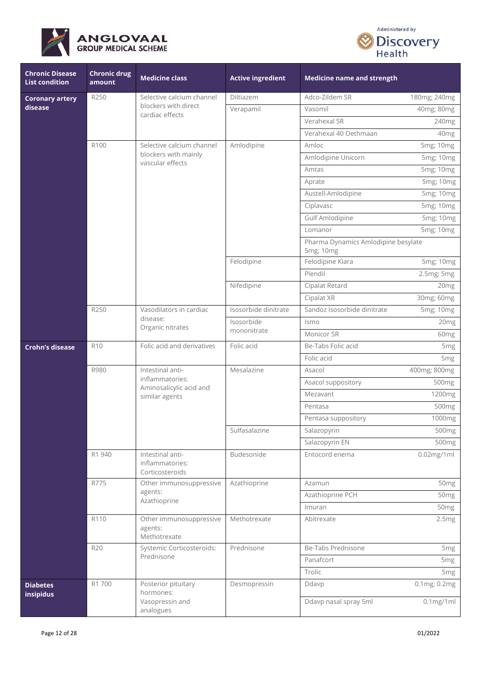



| <b>Chronic Disease</b><br><b>List condition</b> | <b>Chronic drug</b><br>amount | <b>Medicine class</b>                                                            | <b>Active ingredient</b> | <b>Medicine name and strength</b>                |                   |
|-------------------------------------------------|-------------------------------|----------------------------------------------------------------------------------|--------------------------|--------------------------------------------------|-------------------|
| <b>Coronary artery</b>                          | R250                          | Selective calcium channel                                                        | Diltiazem                | Adco-Zildem SR                                   | 180mg; 240mg      |
| disease                                         |                               | blockers with direct<br>cardiac effects                                          | Verapamil                | Vasomil                                          | 40mg; 80mg        |
|                                                 |                               |                                                                                  |                          | Verahexal SR                                     | 240mg             |
|                                                 |                               |                                                                                  |                          | Verahexal 40 Oethmaan                            | 40mg              |
|                                                 | R100                          | Selective calcium channel                                                        | Amlodipine               | Amloc                                            | 5mg; 10mg         |
|                                                 |                               | blockers with mainly<br>vascular effects                                         |                          | Amlodipine Unicorn                               | 5mg; 10mg         |
|                                                 |                               |                                                                                  |                          | Amtas                                            | 5mg; 10mg         |
|                                                 |                               |                                                                                  |                          | Aprate                                           | 5mg; 10mg         |
|                                                 |                               |                                                                                  |                          | Austell-Amlodipine                               | 5mg; 10mg         |
|                                                 |                               |                                                                                  |                          | Ciplavasc                                        | 5mg; 10mg         |
|                                                 |                               |                                                                                  |                          | Gulf Amlodipine                                  | 5mg; 10mg         |
|                                                 |                               |                                                                                  |                          | Lomanor                                          | 5mg; 10mg         |
|                                                 |                               |                                                                                  |                          | Pharma Dynamics Amlodipine besylate<br>5mg; 10mg |                   |
|                                                 |                               |                                                                                  | Felodipine               | Felodipine Kiara                                 | 5mg; 10mg         |
|                                                 |                               |                                                                                  |                          | Plendil                                          | 2.5mg; 5mg        |
|                                                 |                               |                                                                                  | Nifedipine               | Cipalat Retard                                   | 20 <sub>mg</sub>  |
|                                                 |                               |                                                                                  |                          | Cipalat XR                                       | 30mg; 60mg        |
|                                                 | R250                          | Vasodilators in cardiac<br>disease:<br>Organic nitrates                          | Isosorbide dinitrate     | Sandoz Isosorbide dinitrate                      | 5mg; 10mg         |
|                                                 |                               |                                                                                  | Isosorbide               | Ismo                                             | 20 <sub>mg</sub>  |
|                                                 |                               |                                                                                  | mononitrate              | Monicor SR                                       | 60 <sub>mg</sub>  |
| <b>Crohn's disease</b>                          | <b>R10</b>                    | Folic acid and derivatives                                                       | Folic acid               | Be-Tabs Folic acid                               | 5 <sub>mg</sub>   |
|                                                 |                               |                                                                                  |                          | Folic acid                                       | 5 <sub>mg</sub>   |
|                                                 | R980                          | Intestinal anti-<br>inflammatories:<br>Aminosalicylic acid and<br>similar agents | Mesalazine               | Asacol                                           | 400mg; 800mg      |
|                                                 |                               |                                                                                  |                          | Asacol suppository                               | 500 <sub>mg</sub> |
|                                                 |                               |                                                                                  |                          | Mezavant                                         | 1200mg            |
|                                                 |                               |                                                                                  |                          | Pentasa                                          | 500mg             |
|                                                 |                               |                                                                                  |                          | Pentasa suppository                              | 1000mg            |
|                                                 |                               |                                                                                  | Sulfasalazine            | Salazopyrin                                      | 500mg             |
|                                                 |                               |                                                                                  |                          | Salazopyrin EN                                   | 500 <sub>mg</sub> |
|                                                 | R1 940                        | Intestinal anti-<br>inflammatories:<br>Corticosteroids                           | Budesonide               | Entocord enema                                   | $0.02$ mg/1ml     |
|                                                 | R775                          | Other immunosuppressive                                                          | Azathioprine             | Azamun                                           | 50 <sub>mg</sub>  |
|                                                 |                               | agents:<br>Azathioprine                                                          |                          | Azathioprine PCH                                 | 50 <sub>mg</sub>  |
|                                                 |                               |                                                                                  |                          | Imuran                                           | 50 <sub>mg</sub>  |
|                                                 | R110                          | Other immunosuppressive<br>agents:<br>Methotrexate                               | Methotrexate             | Abitrexate                                       | 2.5mg             |
|                                                 | <b>R20</b>                    | Systemic Corticosteroids:                                                        | Prednisone               | Be-Tabs Prednisone                               | 5 <sub>mg</sub>   |
|                                                 |                               | Prednisone                                                                       |                          | Panafcort                                        | 5 <sub>mg</sub>   |
|                                                 |                               |                                                                                  |                          | Trolic                                           | 5 <sub>mg</sub>   |
| <b>Diabetes</b><br>insipidus                    | R1 700                        | Posterior pituitary<br>hormones:                                                 | Desmopressin             | Ddavp                                            | 0.1mg; 0.2mg      |
|                                                 |                               | Vasopressin and<br>analogues                                                     |                          | Ddavp nasal spray 5ml                            | $0.1$ mg/1ml      |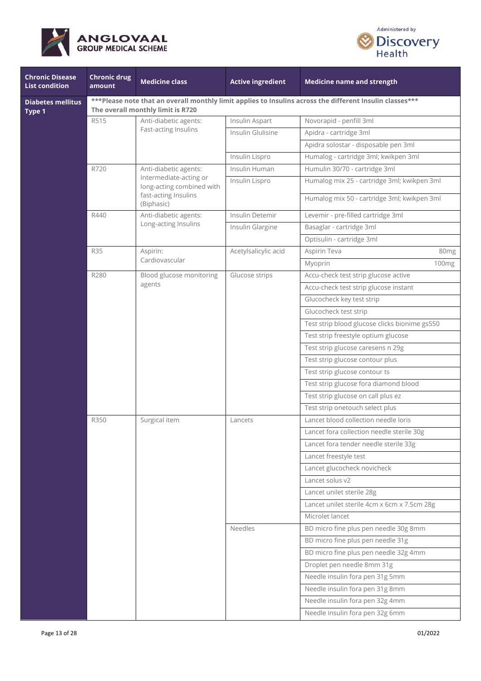



| <b>Chronic Disease</b><br><b>List condition</b> | <b>Chronic drug</b><br>amount                                                                                                                   | <b>Medicine class</b>                                                       | <b>Active ingredient</b> | <b>Medicine name and strength</b>             |                   |  |  |
|-------------------------------------------------|-------------------------------------------------------------------------------------------------------------------------------------------------|-----------------------------------------------------------------------------|--------------------------|-----------------------------------------------|-------------------|--|--|
| <b>Diabetes mellitus</b><br>Type 1              | *** Please note that an overall monthly limit applies to Insulins across the different Insulin classes ***<br>The overall monthly limit is R720 |                                                                             |                          |                                               |                   |  |  |
|                                                 | R515                                                                                                                                            | Anti-diabetic agents:                                                       | Insulin Aspart           | Novorapid - penfill 3ml                       |                   |  |  |
|                                                 |                                                                                                                                                 | Fast-acting Insulins                                                        | Insulin Glulisine        | Apidra - cartridge 3ml                        |                   |  |  |
|                                                 |                                                                                                                                                 |                                                                             |                          | Apidra solostar - disposable pen 3ml          |                   |  |  |
|                                                 |                                                                                                                                                 |                                                                             | Insulin Lispro           | Humalog - cartridge 3ml; kwikpen 3ml          |                   |  |  |
|                                                 | R720                                                                                                                                            | Anti-diabetic agents:                                                       | Insulin Human            | Humulin 30/70 - cartridge 3ml                 |                   |  |  |
|                                                 |                                                                                                                                                 | Intermediate-acting or<br>long-acting combined with<br>fast-acting Insulins | Insulin Lispro           | Humalog mix 25 - cartridge 3ml; kwikpen 3ml   |                   |  |  |
|                                                 |                                                                                                                                                 | (Biphasic)                                                                  |                          | Humalog mix 50 - cartridge 3ml; kwikpen 3ml   |                   |  |  |
|                                                 | R440                                                                                                                                            | Anti-diabetic agents:                                                       | Insulin Detemir          | Levemir - pre-filled cartridge 3ml            |                   |  |  |
|                                                 |                                                                                                                                                 | Long-acting Insulins                                                        | Insulin Glargine         | Basaglar - cartridge 3ml                      |                   |  |  |
|                                                 |                                                                                                                                                 |                                                                             |                          | Optisulin - cartridge 3ml                     |                   |  |  |
|                                                 | <b>R35</b>                                                                                                                                      | Aspirin:                                                                    | Acetylsalicylic acid     | Aspirin Teva                                  | 80 <sub>mg</sub>  |  |  |
|                                                 |                                                                                                                                                 | Cardiovascular                                                              |                          | Myoprin                                       | 100 <sub>mg</sub> |  |  |
|                                                 | R280                                                                                                                                            | Blood glucose monitoring                                                    | Glucose strips           | Accu-check test strip glucose active          |                   |  |  |
|                                                 |                                                                                                                                                 | agents                                                                      |                          | Accu-check test strip glucose instant         |                   |  |  |
|                                                 |                                                                                                                                                 |                                                                             |                          | Glucocheck key test strip                     |                   |  |  |
|                                                 |                                                                                                                                                 |                                                                             |                          | Glucocheck test strip                         |                   |  |  |
|                                                 |                                                                                                                                                 |                                                                             |                          | Test strip blood glucose clicks bionime gs550 |                   |  |  |
|                                                 |                                                                                                                                                 |                                                                             |                          | Test strip freestyle optium glucose           |                   |  |  |
|                                                 |                                                                                                                                                 |                                                                             |                          | Test strip glucose caresens n 29g             |                   |  |  |
|                                                 |                                                                                                                                                 |                                                                             |                          | Test strip glucose contour plus               |                   |  |  |
|                                                 |                                                                                                                                                 |                                                                             |                          | Test strip glucose contour ts                 |                   |  |  |
|                                                 |                                                                                                                                                 |                                                                             |                          | Test strip glucose fora diamond blood         |                   |  |  |
|                                                 |                                                                                                                                                 |                                                                             |                          | Test strip glucose on call plus ez            |                   |  |  |
|                                                 |                                                                                                                                                 |                                                                             |                          | Test strip onetouch select plus               |                   |  |  |
|                                                 | R350                                                                                                                                            | Surgical item                                                               | Lancets                  | Lancet blood collection needle loris          |                   |  |  |
|                                                 |                                                                                                                                                 |                                                                             |                          | Lancet fora collection needle sterile 30g     |                   |  |  |
|                                                 |                                                                                                                                                 |                                                                             |                          | Lancet fora tender needle sterile 33g         |                   |  |  |
|                                                 |                                                                                                                                                 |                                                                             |                          | Lancet freestyle test                         |                   |  |  |
|                                                 |                                                                                                                                                 |                                                                             |                          | Lancet glucocheck novicheck                   |                   |  |  |
|                                                 |                                                                                                                                                 |                                                                             |                          | Lancet solus v2                               |                   |  |  |
|                                                 |                                                                                                                                                 |                                                                             |                          | Lancet unilet sterile 28g                     |                   |  |  |
|                                                 |                                                                                                                                                 |                                                                             |                          | Lancet unilet sterile 4cm x 6cm x 7.5cm 28g   |                   |  |  |
|                                                 |                                                                                                                                                 |                                                                             |                          | Microlet lancet                               |                   |  |  |
|                                                 |                                                                                                                                                 |                                                                             | Needles                  | BD micro fine plus pen needle 30g 8mm         |                   |  |  |
|                                                 |                                                                                                                                                 |                                                                             |                          | BD micro fine plus pen needle 31g             |                   |  |  |
|                                                 |                                                                                                                                                 |                                                                             |                          | BD micro fine plus pen needle 32g 4mm         |                   |  |  |
|                                                 |                                                                                                                                                 |                                                                             |                          | Droplet pen needle 8mm 31g                    |                   |  |  |
|                                                 |                                                                                                                                                 |                                                                             |                          | Needle insulin fora pen 31g 5mm               |                   |  |  |
|                                                 |                                                                                                                                                 |                                                                             |                          | Needle insulin fora pen 31g 8mm               |                   |  |  |
|                                                 |                                                                                                                                                 |                                                                             |                          | Needle insulin fora pen 32g 4mm               |                   |  |  |
|                                                 |                                                                                                                                                 |                                                                             |                          | Needle insulin fora pen 32g 6mm               |                   |  |  |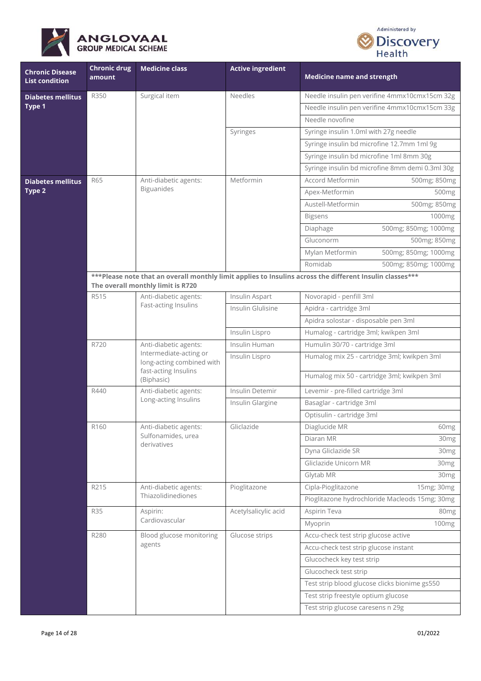



| <b>Chronic Disease</b><br><b>List condition</b> | <b>Chronic drug</b><br>amount | <b>Medicine class</b>                                                                                              | <b>Active ingredient</b> | <b>Medicine name and strength</b>                                                                        |                      |
|-------------------------------------------------|-------------------------------|--------------------------------------------------------------------------------------------------------------------|--------------------------|----------------------------------------------------------------------------------------------------------|----------------------|
| <b>Diabetes mellitus</b>                        | R350                          | Surgical item                                                                                                      | <b>Needles</b>           | Needle insulin pen verifine 4mmx10cmx15cm 32g                                                            |                      |
| Type 1                                          |                               |                                                                                                                    |                          | Needle insulin pen verifine 4mmx10cmx15cm 33g                                                            |                      |
|                                                 |                               |                                                                                                                    |                          | Needle novofine                                                                                          |                      |
|                                                 |                               |                                                                                                                    | Syringes                 | Syringe insulin 1.0ml with 27g needle                                                                    |                      |
|                                                 |                               |                                                                                                                    |                          | Syringe insulin bd microfine 12.7mm 1ml 9g                                                               |                      |
|                                                 |                               |                                                                                                                    |                          | Syringe insulin bd microfine 1ml 8mm 30g                                                                 |                      |
|                                                 |                               |                                                                                                                    |                          | Syringe insulin bd microfine 8mm demi 0.3ml 30g                                                          |                      |
| <b>Diabetes mellitus</b>                        | R65                           | Anti-diabetic agents:                                                                                              | Metformin                | Accord Metformin                                                                                         | 500mg; 850mg         |
| Type 2                                          |                               | <b>Biguanides</b>                                                                                                  |                          | Apex-Metformin                                                                                           | 500 <sub>mg</sub>    |
|                                                 |                               |                                                                                                                    |                          | Austell-Metformin                                                                                        | 500mg; 850mg         |
|                                                 |                               |                                                                                                                    |                          | <b>Bigsens</b>                                                                                           | 1000mg               |
|                                                 |                               |                                                                                                                    |                          | Diaphage                                                                                                 | 500mg; 850mg; 1000mg |
|                                                 |                               |                                                                                                                    |                          | Gluconorm                                                                                                | 500mg; 850mg         |
|                                                 |                               |                                                                                                                    |                          | Mylan Metformin                                                                                          | 500mg; 850mg; 1000mg |
|                                                 |                               |                                                                                                                    |                          | Romidab                                                                                                  | 500mg; 850mg; 1000mg |
|                                                 |                               | The overall monthly limit is R720                                                                                  |                          | ***Please note that an overall monthly limit applies to Insulins across the different Insulin classes*** |                      |
|                                                 | R515                          | Anti-diabetic agents:<br>Fast-acting Insulins                                                                      | Insulin Aspart           | Novorapid - penfill 3ml                                                                                  |                      |
|                                                 |                               |                                                                                                                    | Insulin Glulisine        | Apidra - cartridge 3ml                                                                                   |                      |
|                                                 |                               |                                                                                                                    |                          | Apidra solostar - disposable pen 3ml                                                                     |                      |
|                                                 |                               |                                                                                                                    | Insulin Lispro           | Humalog - cartridge 3ml; kwikpen 3ml                                                                     |                      |
|                                                 | R720                          | Anti-diabetic agents:<br>Intermediate-acting or<br>long-acting combined with<br>fast-acting Insulins<br>(Biphasic) | Insulin Human            | Humulin 30/70 - cartridge 3ml                                                                            |                      |
|                                                 |                               |                                                                                                                    | Insulin Lispro           | Humalog mix 25 - cartridge 3ml; kwikpen 3ml                                                              |                      |
|                                                 |                               |                                                                                                                    |                          | Humalog mix 50 - cartridge 3ml; kwikpen 3ml                                                              |                      |
|                                                 | R440                          | Anti-diabetic agents:                                                                                              | Insulin Detemir          | Levemir - pre-filled cartridge 3ml                                                                       |                      |
|                                                 |                               | Long-acting Insulins                                                                                               | Insulin Glargine         | Basaglar - cartridge 3ml                                                                                 |                      |
|                                                 |                               |                                                                                                                    |                          | Optisulin - cartridge 3ml                                                                                |                      |
|                                                 | R160                          | Anti-diabetic agents:                                                                                              | Gliclazide               | Diaglucide MR                                                                                            | 60mg                 |
|                                                 |                               | Sulfonamides, urea<br>derivatives                                                                                  |                          | Diaran MR                                                                                                | 30mg                 |
|                                                 |                               |                                                                                                                    |                          | Dyna Gliclazide SR                                                                                       | 30 <sub>mg</sub>     |
|                                                 |                               |                                                                                                                    |                          | Gliclazide Unicorn MR                                                                                    | 30 <sub>mg</sub>     |
|                                                 |                               |                                                                                                                    |                          | Glytab MR                                                                                                | 30 <sub>mg</sub>     |
|                                                 | R215                          | Anti-diabetic agents:                                                                                              | Pioglitazone             | Cipla-Pioglitazone                                                                                       | 15mg; 30mg           |
|                                                 |                               | Thiazolidinediones                                                                                                 |                          | Pioglitazone hydrochloride Macleods 15mg; 30mg                                                           |                      |
|                                                 | <b>R35</b>                    | Aspirin:                                                                                                           | Acetylsalicylic acid     | Aspirin Teva                                                                                             | 80 <sub>mg</sub>     |
|                                                 |                               | Cardiovascular                                                                                                     |                          | Myoprin                                                                                                  | 100 <sub>mg</sub>    |
|                                                 | R280                          | Blood glucose monitoring                                                                                           | Glucose strips           | Accu-check test strip glucose active                                                                     |                      |
|                                                 |                               | agents                                                                                                             |                          | Accu-check test strip glucose instant                                                                    |                      |
|                                                 |                               |                                                                                                                    |                          | Glucocheck key test strip                                                                                |                      |
|                                                 |                               |                                                                                                                    |                          | Glucocheck test strip                                                                                    |                      |
|                                                 |                               |                                                                                                                    |                          | Test strip blood glucose clicks bionime gs550                                                            |                      |
|                                                 |                               |                                                                                                                    |                          | Test strip freestyle optium glucose                                                                      |                      |
|                                                 |                               |                                                                                                                    |                          | Test strip glucose caresens n 29g                                                                        |                      |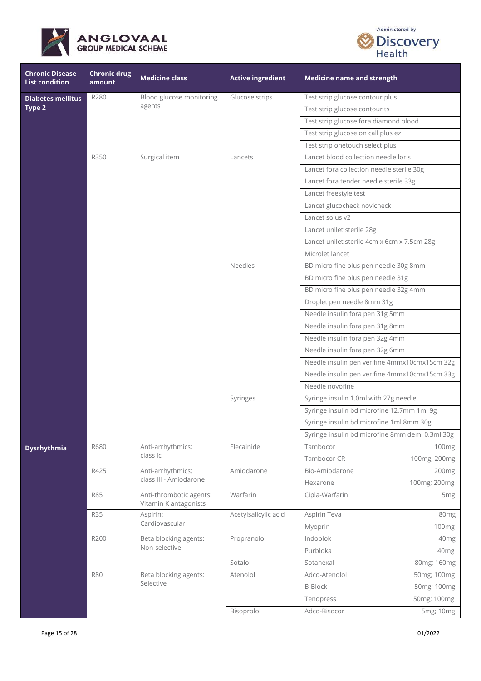



| <b>Chronic Disease</b><br><b>List condition</b> | <b>Chronic drug</b><br>amount | <b>Medicine class</b>                            | <b>Active ingredient</b> | <b>Medicine name and strength</b>               |  |
|-------------------------------------------------|-------------------------------|--------------------------------------------------|--------------------------|-------------------------------------------------|--|
| <b>Diabetes mellitus</b>                        | R280                          | Blood glucose monitoring                         | Glucose strips           | Test strip glucose contour plus                 |  |
| Type 2                                          |                               | agents                                           |                          | Test strip glucose contour ts                   |  |
|                                                 |                               |                                                  |                          | Test strip glucose fora diamond blood           |  |
|                                                 |                               |                                                  |                          | Test strip glucose on call plus ez              |  |
|                                                 |                               |                                                  |                          | Test strip onetouch select plus                 |  |
|                                                 | R350                          | Surgical item                                    | Lancets                  | Lancet blood collection needle loris            |  |
|                                                 |                               |                                                  |                          | Lancet fora collection needle sterile 30g       |  |
|                                                 |                               |                                                  |                          | Lancet fora tender needle sterile 33g           |  |
|                                                 |                               |                                                  |                          | Lancet freestyle test                           |  |
|                                                 |                               |                                                  |                          | Lancet glucocheck novicheck                     |  |
|                                                 |                               |                                                  |                          | Lancet solus v2                                 |  |
|                                                 |                               |                                                  |                          | Lancet unilet sterile 28g                       |  |
|                                                 |                               |                                                  |                          | Lancet unilet sterile 4cm x 6cm x 7.5cm 28g     |  |
|                                                 |                               |                                                  |                          | Microlet lancet                                 |  |
|                                                 |                               |                                                  | Needles                  | BD micro fine plus pen needle 30g 8mm           |  |
|                                                 |                               |                                                  |                          | BD micro fine plus pen needle 31g               |  |
|                                                 |                               |                                                  |                          | BD micro fine plus pen needle 32g 4mm           |  |
|                                                 |                               |                                                  |                          | Droplet pen needle 8mm 31g                      |  |
|                                                 |                               |                                                  |                          | Needle insulin fora pen 31g 5mm                 |  |
|                                                 |                               |                                                  |                          | Needle insulin fora pen 31g 8mm                 |  |
|                                                 |                               |                                                  |                          | Needle insulin fora pen 32g 4mm                 |  |
|                                                 |                               |                                                  |                          | Needle insulin fora pen 32g 6mm                 |  |
|                                                 |                               |                                                  |                          | Needle insulin pen verifine 4mmx10cmx15cm 32g   |  |
|                                                 |                               |                                                  |                          | Needle insulin pen verifine 4mmx10cmx15cm 33g   |  |
|                                                 |                               |                                                  |                          | Needle novofine                                 |  |
|                                                 |                               |                                                  | Syringes                 | Syringe insulin 1.0ml with 27g needle           |  |
|                                                 |                               |                                                  |                          | Syringe insulin bd microfine 12.7mm 1ml 9g      |  |
|                                                 |                               |                                                  |                          | Syringe insulin bd microfine 1ml 8mm 30g        |  |
|                                                 |                               |                                                  |                          | Syringe insulin bd microfine 8mm demi 0.3ml 30g |  |
| <b>Dysrhythmia</b>                              | R680                          | Anti-arrhythmics:                                | Flecainide               | Tambocor<br>100 <sub>mg</sub>                   |  |
|                                                 |                               | class Ic                                         |                          | Tambocor CR<br>100mg; 200mg                     |  |
|                                                 | R425                          | Anti-arrhythmics:                                | Amiodarone               | Bio-Amiodarone<br>200mg                         |  |
|                                                 |                               | class III - Amiodarone                           |                          | 100mg; 200mg<br>Hexarone                        |  |
|                                                 | <b>R85</b>                    | Anti-thrombotic agents:<br>Vitamin K antagonists | Warfarin                 | Cipla-Warfarin<br>5 <sub>mg</sub>               |  |
|                                                 | <b>R35</b>                    | Aspirin:                                         | Acetylsalicylic acid     | Aspirin Teva<br>80 <sub>mg</sub>                |  |
|                                                 |                               | Cardiovascular                                   |                          | Myoprin<br>100 <sub>mg</sub>                    |  |
|                                                 | R200                          | Beta blocking agents:                            | Propranolol              | Indoblok<br>40mg                                |  |
|                                                 |                               | Non-selective                                    |                          | Purbloka<br>40 <sub>mg</sub>                    |  |
|                                                 |                               |                                                  | Sotalol                  | Sotahexal<br>80mg; 160mg                        |  |
|                                                 | <b>R80</b>                    | Beta blocking agents:                            | Atenolol                 | Adco-Atenolol<br>50mg; 100mg                    |  |
|                                                 |                               | Selective                                        |                          | <b>B-Block</b><br>50mg; 100mg                   |  |
|                                                 |                               |                                                  |                          | 50mg; 100mg<br>Tenopress                        |  |
|                                                 |                               |                                                  | Bisoprolol               | Adco-Bisocor<br>5mg; 10mg                       |  |
|                                                 |                               |                                                  |                          |                                                 |  |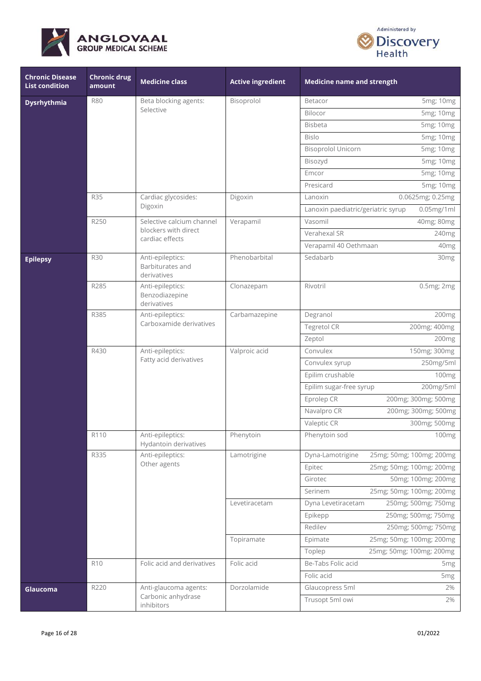



| <b>Chronic Disease</b><br><b>List condition</b> | <b>Chronic drug</b><br>amount | <b>Medicine class</b>                                     | <b>Active ingredient</b> | <b>Medicine name and strength</b>                   |
|-------------------------------------------------|-------------------------------|-----------------------------------------------------------|--------------------------|-----------------------------------------------------|
| <b>Dysrhythmia</b>                              | <b>R80</b>                    | Beta blocking agents:                                     | Bisoprolol               | 5mg; 10mg<br>Betacor                                |
|                                                 |                               | Selective                                                 |                          | Bilocor<br>5mg; 10mg                                |
|                                                 |                               |                                                           |                          | <b>Bisbeta</b><br>5mg; 10mg                         |
|                                                 |                               |                                                           |                          | <b>Bislo</b><br>5mg; 10mg                           |
|                                                 |                               |                                                           |                          | <b>Bisoprolol Unicorn</b><br>5mg; 10mg              |
|                                                 |                               |                                                           |                          | 5mg; 10mg<br>Bisozyd                                |
|                                                 |                               |                                                           |                          | Emcor<br>5mg; 10mg                                  |
|                                                 |                               |                                                           |                          | Presicard<br>5mg; 10mg                              |
|                                                 | <b>R35</b>                    | Cardiac glycosides:                                       | Digoxin                  | 0.0625mg; 0.25mg<br>Lanoxin                         |
|                                                 |                               | Digoxin                                                   |                          | Lanoxin paediatric/geriatric syrup<br>$0.05$ mg/1ml |
|                                                 | R250                          | Selective calcium channel                                 | Verapamil                | Vasomil<br>40mg; 80mg                               |
|                                                 |                               | blockers with direct<br>cardiac effects                   |                          | Verahexal SR<br>240mg                               |
|                                                 |                               |                                                           |                          | Verapamil 40 Oethmaan<br>40 <sub>mg</sub>           |
| <b>Epilepsy</b>                                 | <b>R30</b>                    | Anti-epileptics:<br>Barbiturates and<br>derivatives       | Phenobarbital            | Sedabarb<br>30 <sub>mg</sub>                        |
|                                                 | R285                          | Anti-epileptics:<br>Benzodiazepine<br>derivatives         | Clonazepam               | Rivotril<br>0.5mg; 2mg                              |
|                                                 | R385                          | Anti-epileptics:<br>Carboxamide derivatives               | Carbamazepine            | Degranol<br>200mg                                   |
|                                                 |                               |                                                           |                          | Tegretol CR<br>200mg; 400mg                         |
|                                                 |                               |                                                           |                          | Zeptol<br>200 <sub>mg</sub>                         |
|                                                 | R430                          | Anti-epileptics:<br>Fatty acid derivatives                | Valproic acid            | 150mg; 300mg<br>Convulex                            |
|                                                 |                               |                                                           |                          | Convulex syrup<br>250mg/5ml                         |
|                                                 |                               |                                                           |                          | Epilim crushable<br>100 <sub>mg</sub>               |
|                                                 |                               |                                                           |                          | Epilim sugar-free syrup<br>200mg/5ml                |
|                                                 |                               |                                                           |                          | Eprolep CR<br>200mg; 300mg; 500mg                   |
|                                                 |                               |                                                           |                          | 200mg; 300mg; 500mg<br>Navalpro CR                  |
|                                                 |                               |                                                           |                          | Valeptic CR<br>300mg; 500mg                         |
|                                                 | R110                          | Anti-epileptics:<br>Hydantoin derivatives                 | Phenytoin                | Phenytoin sod<br>100mg                              |
|                                                 | R335                          | Anti-epileptics:<br>Other agents                          | Lamotrigine              | 25mg; 50mg; 100mg; 200mg<br>Dyna-Lamotrigine        |
|                                                 |                               |                                                           |                          | 25mg; 50mg; 100mg; 200mg<br>Epitec                  |
|                                                 |                               |                                                           |                          | 50mg; 100mg; 200mg<br>Girotec                       |
|                                                 |                               |                                                           |                          | 25mg; 50mg; 100mg; 200mg<br>Serinem                 |
|                                                 |                               |                                                           | Levetiracetam            | 250mg; 500mg; 750mg<br>Dyna Levetiracetam           |
|                                                 |                               |                                                           |                          | 250mg; 500mg; 750mg<br>Epikepp                      |
|                                                 |                               |                                                           |                          | Redilev<br>250mg; 500mg; 750mg                      |
|                                                 |                               |                                                           | Topiramate               | 25mg; 50mg; 100mg; 200mg<br>Epimate                 |
|                                                 |                               |                                                           |                          | 25mg; 50mg; 100mg; 200mg<br>Toplep                  |
|                                                 | R <sub>10</sub>               | Folic acid and derivatives                                | Folic acid               | Be-Tabs Folic acid<br>5 <sub>mg</sub>               |
|                                                 |                               |                                                           |                          | Folic acid<br>5 <sub>mg</sub>                       |
| Glaucoma                                        | R220                          | Anti-glaucoma agents:<br>Carbonic anhydrase<br>inhibitors | Dorzolamide              | Glaucopress 5ml<br>2%<br>Trusopt 5ml owi<br>2%      |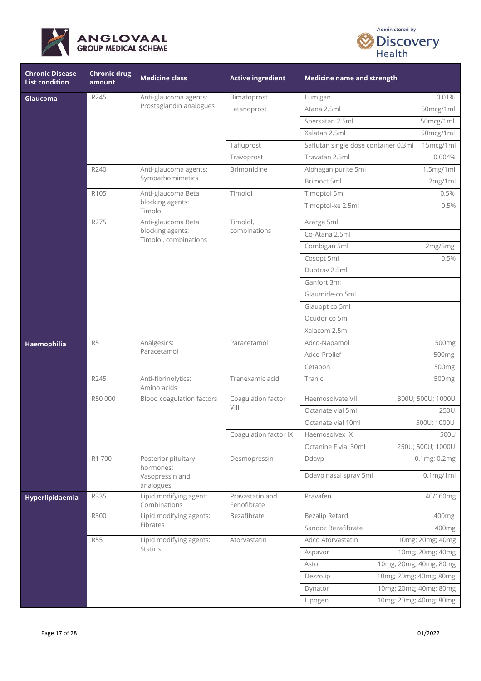



| <b>Chronic Disease</b><br><b>List condition</b> | <b>Chronic drug</b><br>amount | <b>Medicine class</b>                     | <b>Active ingredient</b>                 | <b>Medicine name and strength</b>    |                   |
|-------------------------------------------------|-------------------------------|-------------------------------------------|------------------------------------------|--------------------------------------|-------------------|
| Glaucoma                                        | R245                          | Anti-glaucoma agents:                     | Bimatoprost                              | Lumigan                              | 0.01%             |
|                                                 |                               | Prostaglandin analogues                   | Latanoprost                              | Atana 2.5ml                          | 50mcg/1ml         |
|                                                 |                               |                                           |                                          | Spersatan 2.5ml                      | 50mcg/1ml         |
|                                                 |                               |                                           |                                          | Xalatan 2.5ml                        | 50mcg/1ml         |
|                                                 |                               |                                           | Tafluprost                               | Saflutan single dose container 0.3ml | 15mcg/1ml         |
|                                                 |                               |                                           | Travoprost                               | Travatan 2.5ml                       | 0.004%            |
|                                                 | R240                          | Anti-glaucoma agents:                     | <b>Brimonidine</b>                       | Alphagan purite 5ml                  | 1.5mg/1ml         |
|                                                 |                               | Sympathomimetics                          |                                          | Brimoct 5ml                          | 2mg/1ml           |
|                                                 | R105                          | Anti-glaucoma Beta                        | Timolol                                  | Timoptol 5ml                         | 0.5%              |
|                                                 |                               | blocking agents:<br>Timolol               |                                          | Timoptol-xe 2.5ml                    | 0.5%              |
|                                                 | R275                          | Anti-glaucoma Beta                        | Timolol,                                 | Azarga 5ml                           |                   |
|                                                 |                               | blocking agents:<br>Timolol, combinations | combinations                             | Co-Atana 2.5ml                       |                   |
|                                                 |                               |                                           |                                          | Combigan 5ml                         | 2mg/5mg           |
|                                                 |                               |                                           |                                          | Cosopt 5ml                           | 0.5%              |
|                                                 |                               |                                           |                                          | Duotrav 2.5ml                        |                   |
|                                                 |                               |                                           |                                          | Ganfort 3ml                          |                   |
|                                                 |                               |                                           |                                          | Glaumide-co 5ml                      |                   |
|                                                 |                               |                                           |                                          | Glauopt co 5ml                       |                   |
|                                                 |                               |                                           |                                          | Ocudor co 5ml                        |                   |
|                                                 |                               |                                           |                                          | Xalacom 2.5ml                        |                   |
| Haemophilia                                     | R <sub>5</sub>                | Analgesics:<br>Paracetamol                | Paracetamol                              | Adco-Napamol                         | 500mg             |
|                                                 |                               |                                           |                                          | Adco-Prolief                         | 500mg             |
|                                                 |                               |                                           |                                          | Cetapon                              | 500mg             |
|                                                 | R245                          | Anti-fibrinolytics:<br>Amino acids        | Tranexamic acid                          | Tranic                               | 500mg             |
|                                                 | R50 000                       | Blood coagulation factors                 | Coagulation factor<br>$\vee$ $\parallel$ | Haemosolvate VIII                    | 300U; 500U; 1000U |
|                                                 |                               |                                           |                                          | Octanate vial 5ml                    | 250U              |
|                                                 |                               |                                           |                                          | Octanate vial 10ml                   | 500U; 1000U       |
|                                                 |                               |                                           | Coagulation factor IX                    | Haemosolvex IX                       | 500U              |
|                                                 |                               |                                           |                                          | Octanine F vial 30ml                 | 250U; 500U; 1000U |
|                                                 | R1 700                        | Posterior pituitary<br>hormones:          | Desmopressin                             | Ddavp                                | 0.1mg; 0.2mg      |
|                                                 |                               | Vasopressin and<br>analogues              |                                          | Ddavp nasal spray 5ml                | $0.1$ mg/1ml      |
| Hyperlipidaemia                                 | R335                          | Lipid modifying agent:<br>Combinations    | Pravastatin and<br>Fenofibrate           | Pravafen                             | 40/160mg          |
|                                                 | R300                          | Lipid modifying agents:                   | Bezafibrate                              | <b>Bezalip Retard</b>                | 400 <sub>mg</sub> |
|                                                 |                               | Fibrates                                  |                                          | Sandoz Bezafibrate                   | 400mg             |
|                                                 | <b>R55</b>                    | Lipid modifying agents:                   | Atorvastatin                             | Adco Atorvastatin                    | 10mg; 20mg; 40mg  |
|                                                 |                               | <b>Statins</b>                            |                                          | Aspavor                              | 10mg; 20mg; 40mg  |
|                                                 |                               |                                           |                                          | 10mg; 20mg; 40mg; 80mg<br>Astor      |                   |
|                                                 |                               |                                           |                                          | 10mg; 20mg; 40mg; 80mg<br>Dezzolip   |                   |
|                                                 |                               |                                           |                                          | 10mg; 20mg; 40mg; 80mg<br>Dynator    |                   |
|                                                 |                               |                                           |                                          | 10mg; 20mg; 40mg; 80mg<br>Lipogen    |                   |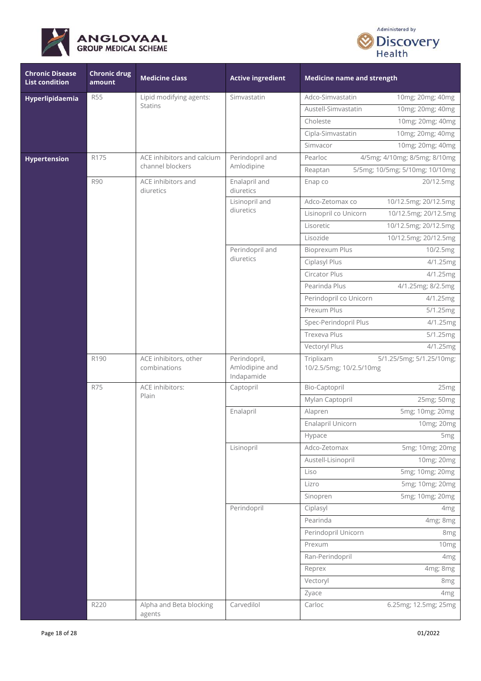



| <b>Chronic Disease</b><br><b>List condition</b> | <b>Chronic drug</b><br>amount | <b>Medicine class</b>                 | <b>Active ingredient</b>                     | <b>Medicine name and strength</b>    |                                |
|-------------------------------------------------|-------------------------------|---------------------------------------|----------------------------------------------|--------------------------------------|--------------------------------|
| Hyperlipidaemia                                 | <b>R55</b>                    | Lipid modifying agents:               | Simvastatin                                  | Adco-Simvastatin                     | 10mg; 20mg; 40mg               |
|                                                 |                               | <b>Statins</b>                        |                                              | Austell-Simvastatin                  | 10mg; 20mg; 40mg               |
|                                                 |                               |                                       |                                              | Choleste                             | 10mg; 20mg; 40mg               |
|                                                 |                               |                                       |                                              | Cipla-Simvastatin                    | 10mg; 20mg; 40mg               |
|                                                 |                               |                                       |                                              | Simvacor                             | 10mg; 20mg; 40mg               |
| <b>Hypertension</b>                             | R175                          | ACE inhibitors and calcium            | Perindopril and                              | Pearloc                              | 4/5mg; 4/10mg; 8/5mg; 8/10mg   |
|                                                 |                               | channel blockers                      | Amlodipine                                   | Reaptan                              | 5/5mg; 10/5mg; 5/10mg; 10/10mg |
|                                                 | <b>R90</b>                    | ACE inhibitors and<br>diuretics       | Enalapril and<br>diuretics                   | Enap co                              | 20/12.5mg                      |
|                                                 |                               |                                       | Lisinopril and                               | Adco-Zetomax co                      | 10/12.5mg; 20/12.5mg           |
|                                                 |                               |                                       | diuretics                                    | Lisinopril co Unicorn                | 10/12.5mg; 20/12.5mg           |
|                                                 |                               |                                       |                                              | Lisoretic                            | 10/12.5mg; 20/12.5mg           |
|                                                 |                               |                                       |                                              | Lisozide                             | 10/12.5mg; 20/12.5mg           |
|                                                 |                               |                                       | Perindopril and                              | <b>Bioprexum Plus</b>                | 10/2.5mg                       |
|                                                 |                               |                                       | diuretics                                    | Ciplasyl Plus                        | 4/1.25mg                       |
|                                                 |                               |                                       |                                              | Circator Plus                        | 4/1.25mg                       |
|                                                 |                               |                                       |                                              | Pearinda Plus                        | 4/1.25mg; 8/2.5mg              |
|                                                 |                               |                                       |                                              | Perindopril co Unicorn               | 4/1.25mg                       |
|                                                 |                               |                                       |                                              | Prexum Plus                          | 5/1.25mg                       |
|                                                 |                               |                                       |                                              | Spec-Perindopril Plus                | 4/1.25mg                       |
|                                                 |                               |                                       |                                              | Trexeva Plus                         | 5/1.25mg                       |
|                                                 |                               |                                       |                                              | Vectoryl Plus                        | 4/1.25mg                       |
|                                                 | R190                          | ACE inhibitors, other<br>combinations | Perindopril,<br>Amlodipine and<br>Indapamide | Triplixam<br>10/2.5/5mg; 10/2.5/10mg | 5/1.25/5mg; 5/1.25/10mg;       |
|                                                 | <b>R75</b>                    | ACE inhibitors:<br>Plain              | Captopril                                    | Bio-Captopril                        | 25mg                           |
|                                                 |                               |                                       |                                              | Mylan Captopril                      | 25mg; 50mg                     |
|                                                 |                               |                                       | Enalapril                                    | Alapren                              | 5mg; 10mg; 20mg                |
|                                                 |                               |                                       |                                              | Enalapril Unicorn                    | 10mg; 20mg                     |
|                                                 |                               |                                       |                                              | Hypace                               | 5 <sub>mg</sub>                |
|                                                 |                               |                                       | Lisinopril                                   | Adco-Zetomax                         | 5mg; 10mg; 20mg                |
|                                                 |                               |                                       |                                              | Austell-Lisinopril                   | 10mg; 20mg                     |
|                                                 |                               |                                       |                                              | Liso                                 | 5mg; 10mg; 20mg                |
|                                                 |                               |                                       |                                              | Lizro                                | 5mg; 10mg; 20mg                |
|                                                 |                               |                                       |                                              | Sinopren                             | 5mg; 10mg; 20mg                |
|                                                 |                               |                                       | Perindopril                                  | Ciplasyl                             | 4mg                            |
|                                                 |                               |                                       |                                              | Pearinda                             | 4mg; 8mg                       |
|                                                 |                               |                                       |                                              | Perindopril Unicorn                  | 8 <sub>mg</sub>                |
|                                                 |                               |                                       |                                              | Prexum                               | 10 <sub>mg</sub>               |
|                                                 |                               |                                       |                                              | Ran-Perindopril                      | 4 <sub>mg</sub>                |
|                                                 |                               |                                       |                                              | Reprex                               | 4mg; 8mg                       |
|                                                 |                               |                                       |                                              | Vectoryl                             | 8mg                            |
|                                                 |                               |                                       |                                              | Zyace                                | 4mg                            |
|                                                 | R220                          | Alpha and Beta blocking<br>agents     | Carvedilol                                   | Carloc                               | 6.25mg; 12.5mg; 25mg           |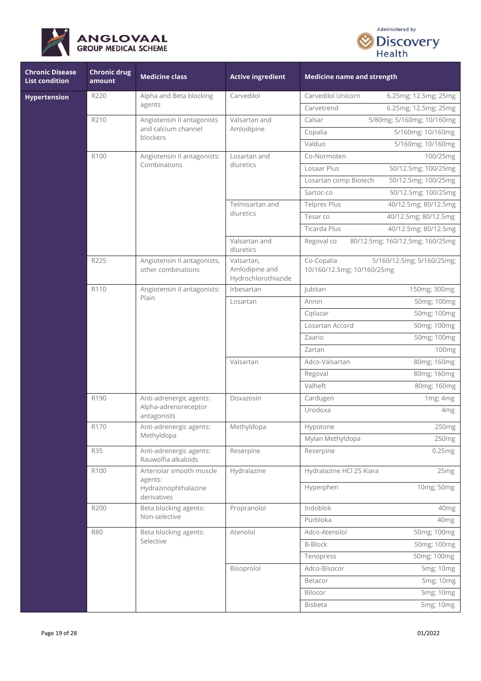



| <b>Chronic Disease</b><br><b>List condition</b> | <b>Chronic drug</b><br>amount | <b>Medicine class</b>                                          | <b>Active ingredient</b>                            | <b>Medicine name and strength</b>        |                                 |
|-------------------------------------------------|-------------------------------|----------------------------------------------------------------|-----------------------------------------------------|------------------------------------------|---------------------------------|
| <b>Hypertension</b>                             | R220                          | Alpha and Beta blocking                                        | Carvedilol                                          | Carvedilol Unicorn                       | 6.25mg; 12.5mg; 25mg            |
|                                                 |                               | agents                                                         |                                                     | Carvetrend                               | 6.25mg; 12.5mg; 25mg            |
|                                                 | R210                          | Angiotensin II antagonists                                     | Valsartan and                                       | Calsar                                   | 5/80mg; 5/160mg; 10/160mg       |
|                                                 |                               | and calcium channel<br>blockers                                | Amlodipine                                          | Copalia                                  | 5/160mg; 10/160mg               |
|                                                 |                               |                                                                |                                                     | Valduo                                   | 5/160mg; 10/160mg               |
|                                                 | R100                          | Angiotensin II antagonists:                                    | Losartan and                                        | Co-Normoten                              | 100/25mg                        |
|                                                 |                               | Combinations                                                   | diuretics                                           | Losaar Plus                              | 50/12.5mg; 100/25mg             |
|                                                 |                               |                                                                |                                                     | Losartan comp Biotech                    | 50/12.5mg; 100/25mg             |
|                                                 |                               |                                                                |                                                     | Sartoc-co                                | 50/12.5mg; 100/25mg             |
|                                                 |                               |                                                                | Telmisartan and                                     | <b>Telpres Plus</b>                      | 40/12.5mg; 80/12.5mg            |
|                                                 |                               |                                                                | diuretics                                           | Tesar co                                 | 40/12.5mg; 80/12.5mg            |
|                                                 |                               |                                                                |                                                     | Ticarda Plus                             | 40/12.5mg; 80/12.5mg            |
|                                                 |                               |                                                                | Valsartan and<br>diuretics                          | Regoval co                               | 80/12.5mg; 160/12.5mg; 160/25mg |
|                                                 | R225                          | Angiotensin II antagonists,<br>other combinations              | Valsartan,<br>Amlodipine and<br>Hydrochlorothiazide | Co-Copalia<br>10/160/12.5mg; 10/160/25mg | 5/160/12.5mg; 5/160/25mg;       |
|                                                 | R110                          | Angiotensin II antagonists:<br>Plain                           | Irbesartan                                          | Jubitan                                  | 150mg; 300mg                    |
|                                                 |                               |                                                                | Losartan                                            | Annin                                    | 50mg; 100mg                     |
|                                                 |                               |                                                                |                                                     | Ciplazar                                 | 50mg; 100mg                     |
|                                                 |                               |                                                                |                                                     | Losartan Accord                          | 50mg; 100mg                     |
|                                                 |                               |                                                                |                                                     | Zaario                                   | 50mg; 100mg                     |
|                                                 |                               |                                                                |                                                     | Zartan                                   | 100mg                           |
|                                                 |                               |                                                                | Valsartan                                           | Adco-Valsartan                           | 80mg; 160mg                     |
|                                                 |                               |                                                                |                                                     | Regoval                                  | 80mg; 160mg                     |
|                                                 |                               |                                                                |                                                     | Valheft                                  | 80mg; 160mg                     |
|                                                 | R <sub>190</sub>              | Anti-adrenergic agents:<br>Alpha-adrenoreceptor<br>antagonists | Doxazosin                                           | Cardugen                                 | 1mg; 4mg                        |
|                                                 |                               |                                                                |                                                     | Urodoxa                                  | 4mg                             |
|                                                 | R170                          | Anti-adrenergic agents:                                        | Methyldopa                                          | Hypotone                                 | 250 <sub>mg</sub>               |
|                                                 |                               | Methyldopa                                                     |                                                     | Mylan Methyldopa                         | 250mg                           |
|                                                 | <b>R35</b>                    | Anti-adrenergic agents:<br>Rauwolfia alkaloids                 | Reserpine                                           | Reserpine                                | 0.25mg                          |
|                                                 | R100                          | Arteriolar smooth muscle                                       | Hydralazine                                         | Hydralazine HCl 25 Kiara                 | 25mg                            |
|                                                 |                               | agents:<br>Hydrazinophthalazine<br>derivatives                 |                                                     | Hyperphen                                | 10mg; 50mg                      |
|                                                 | R200                          | Beta blocking agents:                                          | Propranolol                                         | Indoblok                                 | 40 <sub>mg</sub>                |
|                                                 |                               | Non-selective                                                  |                                                     | Purbloka                                 | 40 <sub>mg</sub>                |
|                                                 | <b>R80</b>                    | Beta blocking agents:                                          | Atenolol                                            | Adco-Atenolol                            | 50mg; 100mg                     |
|                                                 |                               | Selective                                                      |                                                     | <b>B-Block</b>                           | 50mg; 100mg                     |
|                                                 |                               |                                                                |                                                     | Tenopress                                | 50mg; 100mg                     |
|                                                 |                               |                                                                | Bisoprolol                                          | Adco-Bisocor                             | 5mg; 10mg                       |
|                                                 |                               |                                                                |                                                     | Betacor                                  | 5mg; 10mg                       |
|                                                 |                               |                                                                |                                                     | Bilocor                                  | 5mg; 10mg                       |
|                                                 |                               |                                                                |                                                     | Bisbeta                                  | 5mg; 10mg                       |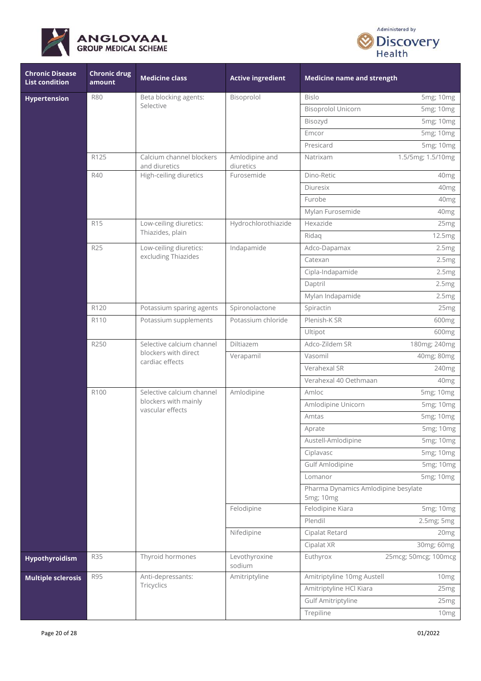



| <b>Chronic Disease</b><br><b>List condition</b> | <b>Chronic drug</b><br>amount | <b>Medicine class</b>                                                 | <b>Active ingredient</b>    | <b>Medicine name and strength</b>                |                      |
|-------------------------------------------------|-------------------------------|-----------------------------------------------------------------------|-----------------------------|--------------------------------------------------|----------------------|
| <b>Hypertension</b>                             | <b>R80</b>                    | Beta blocking agents:                                                 | Bisoprolol                  | <b>Bislo</b>                                     | 5mg; 10mg            |
|                                                 |                               | Selective                                                             |                             | <b>Bisoprolol Unicorn</b>                        | 5mg; 10mg            |
|                                                 |                               |                                                                       |                             | Bisozyd                                          | 5mg; 10mg            |
|                                                 |                               |                                                                       |                             | Emcor                                            | 5mg; 10mg            |
|                                                 |                               |                                                                       |                             | Presicard                                        | 5mg; 10mg            |
|                                                 | R125                          | Calcium channel blockers<br>and diuretics                             | Amlodipine and<br>diuretics | Natrixam                                         | 1.5/5mg; 1.5/10mg    |
|                                                 | R40                           | High-ceiling diuretics                                                | Furosemide                  | Dino-Retic                                       | 40mg                 |
|                                                 |                               |                                                                       |                             | Diuresix                                         | 40mg                 |
|                                                 |                               |                                                                       |                             | Furobe                                           | 40 <sub>mg</sub>     |
|                                                 |                               |                                                                       |                             | Mylan Furosemide                                 | 40 <sub>mg</sub>     |
|                                                 | R <sub>15</sub>               | Low-ceiling diuretics:                                                | Hydrochlorothiazide         | Hexazide                                         | 25 <sub>mg</sub>     |
|                                                 |                               | Thiazides, plain                                                      |                             | Ridaq                                            | 12.5mg               |
|                                                 | R25                           | Low-ceiling diuretics:                                                | Indapamide                  | Adco-Dapamax                                     | 2.5mg                |
|                                                 |                               | excluding Thiazides                                                   |                             | Catexan                                          | 2.5mg                |
|                                                 |                               |                                                                       |                             | Cipla-Indapamide                                 | 2.5mg                |
|                                                 |                               |                                                                       |                             | Daptril                                          | 2.5mg                |
|                                                 |                               |                                                                       |                             | Mylan Indapamide                                 | 2.5mg                |
|                                                 | R120                          | Potassium sparing agents                                              | Spironolactone              | Spiractin                                        | 25 <sub>mg</sub>     |
|                                                 | R110                          | Potassium supplements                                                 | Potassium chloride          | Plenish-K SR                                     | 600mg                |
|                                                 |                               |                                                                       |                             | Ultipot                                          | 600 <sub>mg</sub>    |
|                                                 | R250                          | Selective calcium channel<br>blockers with direct<br>cardiac effects  | Diltiazem                   | Adco-Zildem SR                                   | 180mg; 240mg         |
|                                                 |                               |                                                                       | Verapamil                   | Vasomil                                          | 40mg; 80mg           |
|                                                 |                               |                                                                       |                             | Verahexal SR                                     | 240mg                |
|                                                 |                               |                                                                       |                             | Verahexal 40 Oethmaan                            | 40 <sub>mg</sub>     |
|                                                 | R100                          | Selective calcium channel<br>blockers with mainly<br>vascular effects | Amlodipine                  | Amloc                                            | 5mg; 10mg            |
|                                                 |                               |                                                                       |                             | Amlodipine Unicorn                               | 5mg; 10mg            |
|                                                 |                               |                                                                       |                             | Amtas                                            | 5mg; 10mg            |
|                                                 |                               |                                                                       |                             | Aprate                                           | 5mg; 10mg            |
|                                                 |                               |                                                                       |                             | Austell-Amlodipine                               | 5mg; 10mg            |
|                                                 |                               |                                                                       |                             | Ciplavasc                                        | 5mg; 10mg            |
|                                                 |                               |                                                                       |                             | Gulf Amlodipine                                  | 5mg; 10mg            |
|                                                 |                               |                                                                       |                             | Lomanor                                          | 5mg; 10mg            |
|                                                 |                               |                                                                       |                             | Pharma Dynamics Amlodipine besylate<br>5mg; 10mg |                      |
|                                                 |                               |                                                                       | Felodipine                  | Felodipine Kiara                                 | 5mg; 10mg            |
|                                                 |                               |                                                                       |                             | Plendil                                          | 2.5mg; 5mg           |
|                                                 |                               |                                                                       | Nifedipine                  | Cipalat Retard                                   | 20mg                 |
|                                                 |                               |                                                                       |                             | Cipalat XR                                       | 30mg; 60mg           |
| Hypothyroidism                                  | <b>R35</b>                    | Thyroid hormones                                                      | Levothyroxine<br>sodium     | Euthyrox                                         | 25mcg; 50mcg; 100mcg |
| <b>Multiple sclerosis</b>                       | R95                           | Anti-depressants:                                                     | Amitriptyline               | Amitriptyline 10mg Austell                       | 10 <sub>mg</sub>     |
|                                                 |                               | Tricyclics                                                            |                             | Amitriptyline HCl Kiara                          | 25mg                 |
|                                                 |                               |                                                                       |                             | <b>Gulf Amitriptyline</b>                        | 25mg                 |
|                                                 |                               |                                                                       |                             | Trepiline                                        | 10mg                 |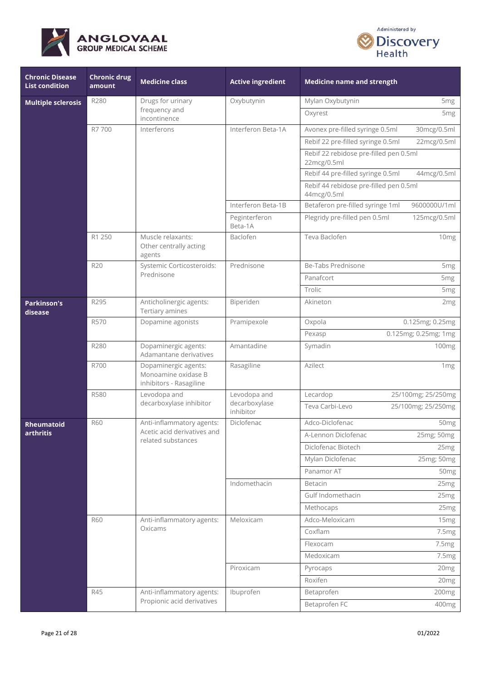



| <b>Chronic Disease</b><br><b>List condition</b> | <b>Chronic drug</b><br>amount | <b>Medicine class</b>                                                  | <b>Active ingredient</b>   | <b>Medicine name and strength</b>                     |                      |
|-------------------------------------------------|-------------------------------|------------------------------------------------------------------------|----------------------------|-------------------------------------------------------|----------------------|
| <b>Multiple sclerosis</b>                       | R280                          | Drugs for urinary                                                      | Oxybutynin                 | Mylan Oxybutynin                                      | 5 <sub>mg</sub>      |
|                                                 |                               | frequency and<br>incontinence                                          |                            | Oxyrest                                               | 5 <sub>mg</sub>      |
|                                                 | R7700                         | Interferons                                                            | Interferon Beta-1A         | Avonex pre-filled syringe 0.5ml                       | 30mcg/0.5ml          |
|                                                 |                               |                                                                        |                            | Rebif 22 pre-filled syringe 0.5ml                     | 22mcg/0.5ml          |
|                                                 |                               |                                                                        |                            | Rebif 22 rebidose pre-filled pen 0.5ml<br>22mcg/0.5ml |                      |
|                                                 |                               |                                                                        |                            | Rebif 44 pre-filled syringe 0.5ml                     | 44mcg/0.5ml          |
|                                                 |                               |                                                                        |                            | Rebif 44 rebidose pre-filled pen 0.5ml<br>44mcg/0.5ml |                      |
|                                                 |                               |                                                                        | Interferon Beta-1B         | Betaferon pre-filled syringe 1ml                      | 9600000U/1ml         |
|                                                 |                               |                                                                        | Peginterferon<br>Beta-1A   | Plegridy pre-filled pen 0.5ml                         | 125mcg/0.5ml         |
|                                                 | R1 250                        | Muscle relaxants:<br>Other centrally acting<br>agents                  | Baclofen                   | Teva Baclofen                                         | 10mg                 |
|                                                 | R20                           | Systemic Corticosteroids:                                              | Prednisone                 | Be-Tabs Prednisone                                    | 5 <sub>mg</sub>      |
|                                                 |                               | Prednisone                                                             |                            | Panafcort                                             | 5 <sub>mg</sub>      |
|                                                 |                               |                                                                        |                            | Trolic                                                | 5 <sub>mg</sub>      |
| <b>Parkinson's</b><br>disease                   | R295                          | Anticholinergic agents:<br>Tertiary amines                             | Biperiden                  | Akineton                                              | 2 <sub>mg</sub>      |
|                                                 | R570                          | Dopamine agonists                                                      | Pramipexole                | Oxpola                                                | 0.125mg; 0.25mg      |
|                                                 |                               |                                                                        |                            | Pexasp                                                | 0.125mg; 0.25mg; 1mg |
|                                                 | R280                          | Dopaminergic agents:<br>Adamantane derivatives                         | Amantadine                 | Symadin                                               | 100 <sub>mg</sub>    |
|                                                 | R700                          | Dopaminergic agents:<br>Monoamine oxidase B<br>inhibitors - Rasagiline | Rasagiline                 | Azilect                                               | 1 <sub>mg</sub>      |
|                                                 | R580                          | Levodopa and                                                           | Levodopa and               | Lecardop                                              | 25/100mg; 25/250mg   |
|                                                 |                               | decarboxylase inhibitor                                                | decarboxylase<br>inhibitor | Teva Carbi-Levo                                       | 25/100mg; 25/250mg   |
| Rheumatoid                                      | <b>R60</b>                    | Anti-inflammatory agents:                                              | Diclofenac                 | Adco-Diclofenac                                       | 50 <sub>mg</sub>     |
| arthritis                                       |                               | Acetic acid derivatives and<br>related substances                      |                            | A-Lennon Diclofenac                                   | 25mg; 50mg           |
|                                                 |                               |                                                                        |                            | Diclofenac Biotech                                    | 25 <sub>mg</sub>     |
|                                                 |                               |                                                                        |                            | Mylan Diclofenac                                      | 25mg; 50mg           |
|                                                 |                               |                                                                        |                            | Panamor AT                                            | 50 <sub>mg</sub>     |
|                                                 |                               |                                                                        | Indomethacin               | Betacin                                               | 25 <sub>mg</sub>     |
|                                                 |                               |                                                                        |                            | Gulf Indomethacin                                     | 25 <sub>mg</sub>     |
|                                                 |                               |                                                                        |                            | Methocaps                                             | 25 <sub>mg</sub>     |
|                                                 | <b>R60</b>                    | Anti-inflammatory agents:                                              | Meloxicam                  | Adco-Meloxicam                                        | 15 <sub>mg</sub>     |
|                                                 |                               | Oxicams                                                                |                            | Coxflam                                               | 7.5 <sub>mg</sub>    |
|                                                 |                               |                                                                        |                            | Flexocam                                              | 7.5mg                |
|                                                 |                               |                                                                        |                            | Medoxicam                                             | 7.5 <sub>mg</sub>    |
|                                                 |                               |                                                                        | Piroxicam                  | Pyrocaps                                              | 20mg                 |
|                                                 |                               |                                                                        |                            | Roxifen                                               | 20 <sub>mg</sub>     |
|                                                 | R45                           | Anti-inflammatory agents:                                              | Ibuprofen                  | Betaprofen                                            | 200mg                |
|                                                 |                               | Propionic acid derivatives                                             |                            | Betaprofen FC                                         | 400mg                |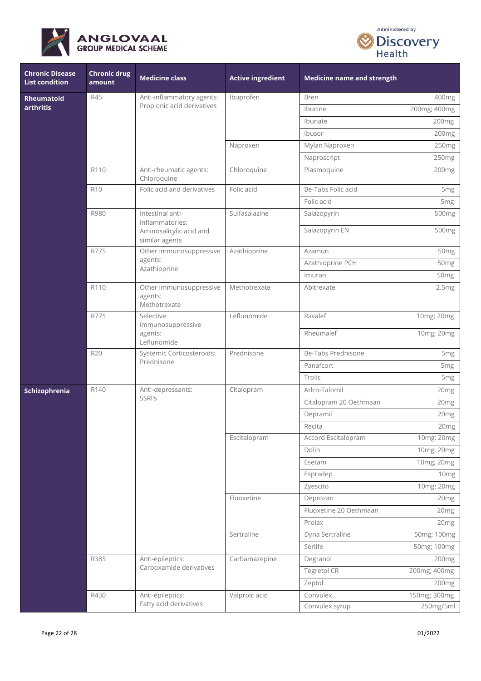



| <b>Chronic Disease</b><br><b>List condition</b> | <b>Chronic drug</b><br>amount | <b>Medicine class</b>                                    | <b>Active ingredient</b> | <b>Medicine name and strength</b> |                   |
|-------------------------------------------------|-------------------------------|----------------------------------------------------------|--------------------------|-----------------------------------|-------------------|
| <b>Rheumatoid</b><br>arthritis                  | R45                           | Anti-inflammatory agents:                                | Ibuprofen                | <b>Bren</b>                       | 400mg             |
|                                                 |                               | Propionic acid derivatives                               |                          | Ibucine                           | 200mg; 400mg      |
|                                                 |                               |                                                          |                          | Ibunate                           | 200 <sub>mg</sub> |
|                                                 |                               |                                                          |                          | Ibusor                            | 200mg             |
|                                                 |                               |                                                          | Naproxen                 | Mylan Naproxen                    | 250mg             |
|                                                 |                               |                                                          |                          | Naproscript                       | 250mg             |
|                                                 | R110                          | Anti-rheumatic agents:<br>Chloroquine                    | Chloroquine              | Plasmoquine                       | 200 <sub>mg</sub> |
|                                                 | R <sub>10</sub>               | Folic acid and derivatives                               | Folic acid               | Be-Tabs Folic acid                | 5 <sub>mg</sub>   |
|                                                 |                               |                                                          |                          | Folic acid                        | 5 <sub>mg</sub>   |
|                                                 | R980                          | Intestinal anti-<br>inflammatories:                      | Sulfasalazine            | Salazopyrin                       | 500mg             |
|                                                 |                               | Aminosalicylic acid and<br>similar agents                |                          | Salazopyrin EN                    | 500mg             |
|                                                 | R775                          | Other immunosuppressive                                  | Azathioprine             | Azamun                            | 50mg              |
|                                                 |                               | agents:<br>Azathioprine                                  |                          | Azathioprine PCH                  | 50mg              |
|                                                 |                               |                                                          |                          | Imuran                            | 50 <sub>mg</sub>  |
|                                                 | R110                          | Other immunosuppressive<br>agents:<br>Methotrexate       | Methotrexate             | Abitrexate                        | 2.5mg             |
|                                                 | R775                          | Selective<br>immunosuppressive<br>agents:<br>Leflunomide | Leflunomide              | Ravalef                           | 10mg; 20mg        |
|                                                 |                               |                                                          |                          | Rheumalef                         | 10mg; 20mg        |
|                                                 | R20                           | Systemic Corticosteroids:<br>Prednisone                  | Prednisone               | Be-Tabs Prednisone                | 5 <sub>mg</sub>   |
|                                                 |                               |                                                          |                          | Panafcort                         | 5 <sub>mg</sub>   |
|                                                 |                               |                                                          |                          | Trolic                            | 5 <sub>mg</sub>   |
| Schizophrenia                                   | R140                          | Anti-depressants:<br>SSRI's                              | Citalopram               | Adco-Talomil                      | 20 <sub>mg</sub>  |
|                                                 |                               |                                                          |                          | Citalopram 20 Oethmaan            | 20 <sub>mg</sub>  |
|                                                 |                               |                                                          |                          | Depramil                          | 20mg              |
|                                                 |                               |                                                          |                          | Recita                            | 20mg              |
|                                                 |                               |                                                          | Escitalopram             | Accord Escitalopram               | 10mg; 20mg        |
|                                                 |                               |                                                          |                          | Dolin                             | 10mg; 20mg        |
|                                                 |                               |                                                          |                          | Esetam                            | 10mg; 20mg        |
|                                                 |                               |                                                          |                          | Espradep                          | 10mg              |
|                                                 |                               |                                                          |                          | Zyescito                          | 10mg; 20mg        |
|                                                 |                               |                                                          | Fluoxetine               | Deprozan                          | 20mg              |
|                                                 |                               |                                                          |                          | Fluoxetine 20 Oethmaan            | 20mg              |
|                                                 |                               |                                                          |                          | Prolax                            | 20 <sub>mg</sub>  |
|                                                 |                               |                                                          | Sertraline               | Dyna Sertraline                   | 50mg; 100mg       |
|                                                 |                               |                                                          |                          | Serlife                           | 50mg; 100mg       |
|                                                 | R385                          | Anti-epileptics:                                         | Carbamazepine            | Degranol                          | 200mg             |
|                                                 |                               | Carboxamide derivatives                                  |                          | <b>Tegretol CR</b>                | 200mg; 400mg      |
|                                                 |                               |                                                          |                          | Zeptol                            | 200 <sub>mg</sub> |
|                                                 | R430                          | Anti-epileptics:                                         | Valproic acid            | Convulex                          | 150mg; 300mg      |
|                                                 |                               | Fatty acid derivatives                                   |                          | Convulex syrup                    | 250mg/5ml         |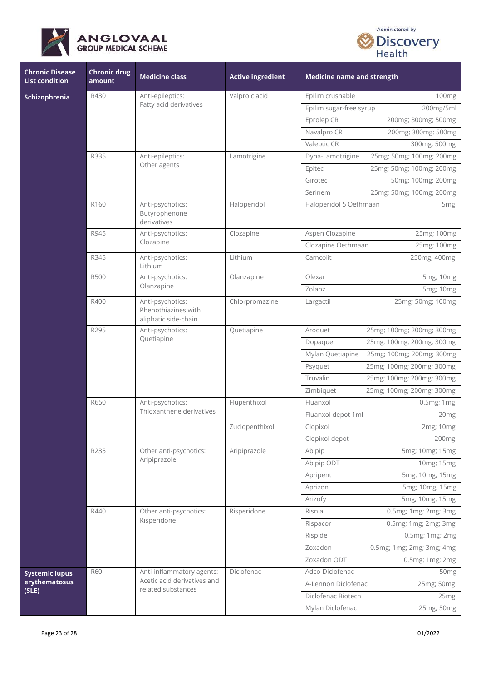



| <b>Chronic Disease</b><br><b>List condition</b> | <b>Chronic drug</b><br>amount | <b>Medicine class</b>                                           | <b>Active ingredient</b> | <b>Medicine name and strength</b>             |
|-------------------------------------------------|-------------------------------|-----------------------------------------------------------------|--------------------------|-----------------------------------------------|
| Schizophrenia                                   | R430                          | Anti-epileptics:                                                | Valproic acid            | Epilim crushable<br>100mg                     |
|                                                 |                               | Fatty acid derivatives                                          |                          | Epilim sugar-free syrup<br>200mg/5ml          |
|                                                 |                               |                                                                 |                          | Eprolep CR<br>200mg; 300mg; 500mg             |
|                                                 |                               |                                                                 |                          | Navalpro CR<br>200mg; 300mg; 500mg            |
|                                                 |                               |                                                                 |                          | Valeptic CR<br>300mg; 500mg                   |
|                                                 | R335                          | Anti-epileptics:                                                | Lamotrigine              | 25mg; 50mg; 100mg; 200mg<br>Dyna-Lamotrigine  |
|                                                 |                               | Other agents                                                    |                          | 25mg; 50mg; 100mg; 200mg<br>Epitec            |
|                                                 |                               |                                                                 |                          | 50mg; 100mg; 200mg<br>Girotec                 |
|                                                 |                               |                                                                 |                          | 25mg; 50mg; 100mg; 200mg<br>Serinem           |
|                                                 | R <sub>160</sub>              | Anti-psychotics:<br>Butyrophenone<br>derivatives                | Haloperidol              | Haloperidol 5 Oethmaan<br>5 <sub>mg</sub>     |
|                                                 | R945                          | Anti-psychotics:                                                | Clozapine                | Aspen Clozapine<br>25mg; 100mg                |
|                                                 |                               | Clozapine                                                       |                          | Clozapine Oethmaan<br>25mg; 100mg             |
|                                                 | R345                          | Anti-psychotics:<br>Lithium                                     | Lithium                  | Camcolit<br>250mg; 400mg                      |
|                                                 | <b>R500</b>                   | Anti-psychotics:<br>Olanzapine                                  | Olanzapine               | Olexar<br>5mg; 10mg                           |
|                                                 |                               |                                                                 |                          | Zolanz<br>5mg; 10mg                           |
|                                                 | R400                          | Anti-psychotics:<br>Phenothiazines with<br>aliphatic side-chain | Chlorpromazine           | 25mg; 50mg; 100mg<br>Largactil                |
|                                                 | R295                          | Anti-psychotics:<br>Quetiapine                                  | Quetiapine               | 25mg; 100mg; 200mg; 300mg<br>Aroquet          |
|                                                 |                               |                                                                 |                          | 25mg; 100mg; 200mg; 300mg<br>Dopaquel         |
|                                                 |                               |                                                                 |                          | Mylan Quetiapine<br>25mg; 100mg; 200mg; 300mg |
|                                                 |                               |                                                                 |                          | 25mg; 100mg; 200mg; 300mg<br>Psyquet          |
|                                                 |                               |                                                                 |                          | Truvalin<br>25mg; 100mg; 200mg; 300mg         |
|                                                 |                               |                                                                 |                          | Zimbiquet<br>25mg; 100mg; 200mg; 300mg        |
|                                                 | R650                          | Anti-psychotics:<br>Thioxanthene derivatives                    | Flupenthixol             | Fluanxol<br>0.5mg; 1mg                        |
|                                                 |                               |                                                                 |                          | Fluanxol depot 1ml<br>20mg                    |
|                                                 |                               |                                                                 | Zuclopenthixol           | Clopixol<br>2mg; 10mg                         |
|                                                 |                               |                                                                 |                          | Clopixol depot<br>200 <sub>mg</sub>           |
|                                                 | R235                          | Other anti-psychotics:                                          | Aripiprazole             | 5mg; 10mg; 15mg<br>Abipip                     |
|                                                 |                               | Aripiprazole                                                    |                          | Abipip ODT<br>10mg; 15mg                      |
|                                                 |                               |                                                                 |                          | 5mg; 10mg; 15mg<br>Apripent                   |
|                                                 |                               |                                                                 |                          | 5mg; 10mg; 15mg<br>Aprizon                    |
|                                                 |                               |                                                                 |                          | Arizofy<br>5mg; 10mg; 15mg                    |
|                                                 | R440                          | Other anti-psychotics:<br>Risperidone                           | Risperidone              | Risnia<br>0.5mg; 1mg; 2mg; 3mg                |
|                                                 |                               |                                                                 |                          | 0.5mg; 1mg; 2mg; 3mg<br>Rispacor              |
|                                                 |                               |                                                                 |                          | Rispide<br>0.5mg; 1mg; 2mg                    |
|                                                 |                               |                                                                 |                          | Zoxadon<br>0.5mg; 1mg; 2mg; 3mg; 4mg          |
|                                                 |                               |                                                                 |                          | Zoxadon ODT<br>0.5mg; 1mg; 2mg                |
| <b>Systemic lupus</b>                           | <b>R60</b>                    | Anti-inflammatory agents:<br>Acetic acid derivatives and        | Diclofenac               | Adco-Diclofenac<br>50 <sub>mg</sub>           |
| erythematosus<br>(SLE)                          |                               | related substances                                              |                          | A-Lennon Diclofenac<br>25mg; 50mg             |
|                                                 |                               |                                                                 |                          | Diclofenac Biotech<br>25mg                    |
|                                                 |                               |                                                                 |                          | Mylan Diclofenac<br>25mg; 50mg                |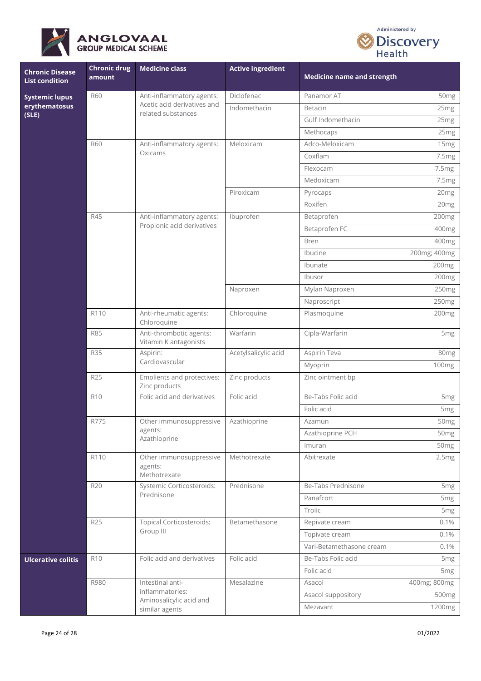



| <b>Chronic Disease</b><br><b>List condition</b> | Chronic drug<br>amount | <b>Medicine class</b>                              | <b>Active ingredient</b> | <b>Medicine name and strength</b> |                   |
|-------------------------------------------------|------------------------|----------------------------------------------------|--------------------------|-----------------------------------|-------------------|
| <b>Systemic lupus</b><br>erythematosus          | <b>R60</b>             | Anti-inflammatory agents:                          | Diclofenac               | Panamor AT                        | 50 <sub>mg</sub>  |
|                                                 |                        | Acetic acid derivatives and<br>related substances  | Indomethacin             | Betacin                           | 25mg              |
| (SLE)                                           |                        |                                                    |                          | Gulf Indomethacin                 | 25 <sub>mg</sub>  |
|                                                 |                        |                                                    |                          | Methocaps                         | 25mg              |
|                                                 | <b>R60</b>             | Anti-inflammatory agents:                          | Meloxicam                | Adco-Meloxicam                    | 15mg              |
|                                                 |                        | Oxicams                                            |                          | Coxflam                           | 7.5mg             |
|                                                 |                        |                                                    |                          | Flexocam                          | 7.5mg             |
|                                                 |                        |                                                    |                          | Medoxicam                         | 7.5mg             |
|                                                 |                        |                                                    | Piroxicam                | Pyrocaps                          | 20mg              |
|                                                 |                        |                                                    |                          | Roxifen                           | 20mg              |
|                                                 | R45                    | Anti-inflammatory agents:                          | Ibuprofen                | Betaprofen                        | 200mg             |
|                                                 |                        | Propionic acid derivatives                         |                          | Betaprofen FC                     | 400mg             |
|                                                 |                        |                                                    |                          | <b>Bren</b>                       | 400mg             |
|                                                 |                        |                                                    |                          | Ibucine                           | 200mg; 400mg      |
|                                                 |                        |                                                    |                          | Ibunate                           | 200 <sub>mg</sub> |
|                                                 |                        |                                                    |                          | Ibusor                            | 200mg             |
|                                                 |                        |                                                    | Naproxen                 | Mylan Naproxen                    | 250mg             |
|                                                 |                        |                                                    |                          | Naproscript                       | 250mg             |
|                                                 | R110                   | Anti-rheumatic agents:<br>Chloroquine              | Chloroquine              | Plasmoquine                       | 200mg             |
|                                                 | <b>R85</b>             | Anti-thrombotic agents:<br>Vitamin K antagonists   | Warfarin                 | Cipla-Warfarin                    | 5mg               |
|                                                 | <b>R35</b>             | Aspirin:<br>Cardiovascular                         | Acetylsalicylic acid     | Aspirin Teva                      | 80mg              |
|                                                 |                        |                                                    |                          | Myoprin                           | 100mg             |
|                                                 | R <sub>25</sub>        | Emolients and protectives:<br>Zinc products        | Zinc products            | Zinc ointment bp                  |                   |
|                                                 | <b>R10</b>             | Folic acid and derivatives                         | Folic acid               | Be-Tabs Folic acid                | 5 <sub>mg</sub>   |
|                                                 |                        |                                                    |                          | Folic acid                        | 5 <sub>mg</sub>   |
|                                                 | R775                   | Other immunosuppressive                            | Azathioprine             | Azamun                            | 50mg              |
|                                                 |                        | agents:<br>Azathioprine                            |                          | Azathioprine PCH                  | 50 <sub>mg</sub>  |
|                                                 |                        |                                                    |                          | Imuran                            | 50 <sub>mg</sub>  |
|                                                 | R110                   | Other immunosuppressive<br>agents:<br>Methotrexate | Methotrexate             | Abitrexate                        | 2.5mg             |
|                                                 | <b>R20</b>             | Systemic Corticosteroids:                          | Prednisone               | Be-Tabs Prednisone                | 5mg               |
|                                                 |                        | Prednisone                                         |                          | Panafcort                         | 5 <sub>mg</sub>   |
|                                                 |                        |                                                    |                          | Trolic                            | 5 <sub>mg</sub>   |
|                                                 | R25                    | <b>Topical Corticosteroids:</b>                    | Betamethasone            | Repivate cream                    | 0.1%              |
|                                                 |                        | Group III                                          |                          | Topivate cream                    | 0.1%              |
|                                                 |                        |                                                    |                          | Vari-Betamethasone cream          | 0.1%              |
| <b>Ulcerative colitis</b>                       | <b>R10</b>             | Folic acid and derivatives                         | Folic acid               | Be-Tabs Folic acid                | 5 <sub>mg</sub>   |
|                                                 |                        |                                                    |                          | Folic acid                        | 5 <sub>mg</sub>   |
|                                                 | R980                   | Intestinal anti-                                   | Mesalazine               | Asacol                            | 400mg; 800mg      |
|                                                 |                        | inflammatories:<br>Aminosalicylic acid and         |                          | Asacol suppository                | 500mg             |
|                                                 |                        | similar agents                                     |                          | Mezavant                          | 1200mg            |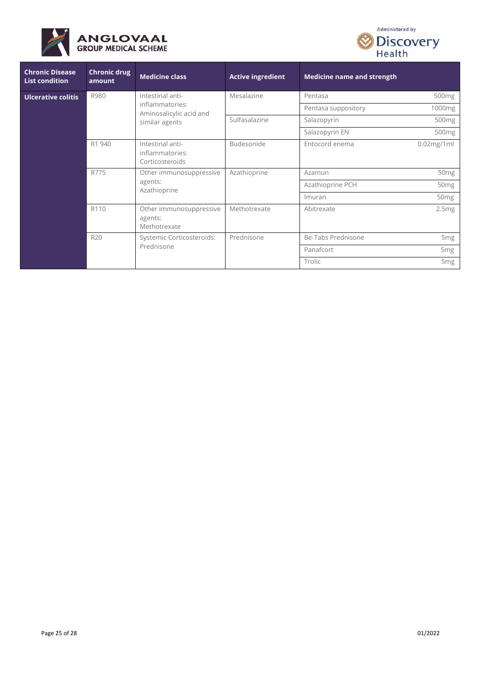



| <b>Chronic Disease</b><br><b>List condition</b> | <b>Chronic drug</b><br>amount | <b>Medicine class</b>                                  | <b>Active ingredient</b> | <b>Medicine name and strength</b> |                    |
|-------------------------------------------------|-------------------------------|--------------------------------------------------------|--------------------------|-----------------------------------|--------------------|
| Ulcerative colitis                              | R980                          | Intestinal anti-                                       | Mesalazine               | Pentasa                           | 500 <sub>mg</sub>  |
|                                                 |                               | inflammatories:<br>Aminosalicylic acid and             |                          | Pentasa suppository               | 1000 <sub>mg</sub> |
|                                                 |                               | similar agents                                         | Sulfasalazine            | Salazopyrin                       | 500 <sub>mg</sub>  |
|                                                 |                               |                                                        |                          | Salazopyrin EN                    | 500 <sub>mg</sub>  |
|                                                 | R1 940                        | Intestinal anti-<br>inflammatories:<br>Corticosteroids | Budesonide               | Entocord enema                    | $0.02$ mg/1ml      |
|                                                 | R775                          | Other immunosuppressive<br>agents:<br>Azathioprine     | Azathioprine             | Azamun                            | 50 <sub>mg</sub>   |
|                                                 |                               |                                                        |                          | Azathioprine PCH                  | 50 <sub>mg</sub>   |
|                                                 |                               |                                                        |                          | Imuran                            | 50 <sub>mg</sub>   |
|                                                 | R110                          | Other immunosuppressive<br>agents:<br>Methotrexate     | Methotrexate             | Abitrexate                        | 2.5mg              |
|                                                 | R20                           | Systemic Corticosteroids:                              | Prednisone               | Be-Tabs Prednisone                | 5 <sub>mg</sub>    |
|                                                 |                               | Prednisone                                             |                          | Panafcort                         | 5 <sub>mg</sub>    |
|                                                 |                               |                                                        |                          | Trolic                            | 5 <sub>mg</sub>    |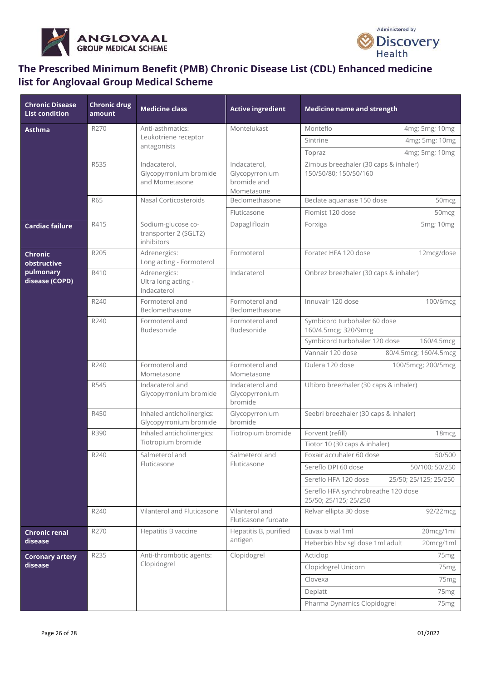



# **The Prescribed Minimum Benefit (PMB) Chronic Disease List (CDL) Enhanced medicine list for Anglovaal Group Medical Scheme**

| <b>Chronic Disease</b><br><b>List condition</b> | <b>Chronic drug</b><br>amount | <b>Medicine class</b>                                     | <b>Active ingredient</b>                                    | <b>Medicine name and strength</b>                              |
|-------------------------------------------------|-------------------------------|-----------------------------------------------------------|-------------------------------------------------------------|----------------------------------------------------------------|
| <b>Asthma</b>                                   | R270                          | Anti-asthmatics:                                          | Montelukast                                                 | Monteflo<br>4mg; 5mg; 10mg                                     |
|                                                 |                               | Leukotriene receptor<br>antagonists                       |                                                             | Sintrine<br>4mg; 5mg; 10mg                                     |
|                                                 |                               |                                                           |                                                             | 4mg; 5mg; 10mg<br>Topraz                                       |
|                                                 | R535                          | Indacaterol,<br>Glycopyrronium bromide<br>and Mometasone  | Indacaterol,<br>Glycopyrronium<br>bromide and<br>Mometasone | Zimbus breezhaler (30 caps & inhaler)<br>150/50/80; 150/50/160 |
|                                                 | <b>R65</b>                    | Nasal Corticosteroids                                     | Beclomethasone                                              | Beclate aquanase 150 dose<br>50 <sub>mcg</sub>                 |
|                                                 |                               |                                                           | Fluticasone                                                 | Flomist 120 dose<br>50mcg                                      |
| <b>Cardiac failure</b>                          | R415                          | Sodium-glucose co-<br>transporter 2 (SGLT2)<br>inhibitors | Dapagliflozin                                               | 5mg; 10mg<br>Forxiga                                           |
| <b>Chronic</b><br>obstructive                   | R205                          | Adrenergics:<br>Long acting - Formoterol                  | Formoterol                                                  | Foratec HFA 120 dose<br>12mcg/dose                             |
| pulmonary<br>disease (COPD)                     | R410                          | Adrenergics:<br>Ultra long acting -<br>Indacaterol        | Indacaterol                                                 | Onbrez breezhaler (30 caps & inhaler)                          |
|                                                 | R240                          | Formoterol and<br>Beclomethasone                          | Formoterol and<br>Beclomethasone                            | Innuvair 120 dose<br>100/6mcg                                  |
|                                                 | R240                          | Formoterol and<br>Budesonide                              | Formoterol and<br>Budesonide                                | Symbicord turbohaler 60 dose<br>160/4.5mcg; 320/9mcg           |
|                                                 |                               |                                                           |                                                             | Symbicord turbohaler 120 dose<br>160/4.5mcg                    |
|                                                 |                               |                                                           |                                                             | Vannair 120 dose<br>80/4.5mcg; 160/4.5mcg                      |
|                                                 | R240                          | Formoterol and<br>Mometasone                              | Formoterol and<br>Mometasone                                | Dulera 120 dose<br>100/5mcg; 200/5mcg                          |
|                                                 | R545                          | Indacaterol and<br>Glycopyrronium bromide                 | Indacaterol and<br>Glycopyrronium<br>bromide                | Ultibro breezhaler (30 caps & inhaler)                         |
|                                                 | R450                          | Inhaled anticholinergics:<br>Glycopyrronium bromide       | Glycopyrronium<br>bromide                                   | Seebri breezhaler (30 caps & inhaler)                          |
|                                                 | R390                          | Inhaled anticholinergics:                                 | Tiotropium bromide                                          | Forvent (refill)<br>18 <sub>mcg</sub>                          |
|                                                 |                               | Tiotropium bromide                                        |                                                             | Tiotor 10 (30 caps & inhaler)                                  |
|                                                 | R240                          | Salmeterol and<br>Fluticasone                             | Salmeterol and<br>Fluticasone                               | 50/500<br>Foxair accuhaler 60 dose                             |
|                                                 |                               |                                                           |                                                             | Sereflo DPI 60 dose<br>50/100; 50/250                          |
|                                                 |                               |                                                           |                                                             | Sereflo HFA 120 dose<br>25/50; 25/125; 25/250                  |
|                                                 |                               |                                                           |                                                             | Sereflo HFA synchrobreathe 120 dose<br>25/50; 25/125; 25/250   |
|                                                 | R240                          | Vilanterol and Fluticasone                                | Vilanterol and<br>Fluticasone furoate                       | Relvar ellipta 30 dose<br>92/22mcg                             |
| <b>Chronic renal</b>                            | R270                          | Hepatitis B vaccine                                       | Hepatitis B, purified                                       | Euvax b vial 1ml<br>20mcg/1ml                                  |
| disease                                         |                               |                                                           | antigen                                                     | Heberbio hbv sgl dose 1ml adult<br>20mcg/1ml                   |
| <b>Coronary artery</b>                          | R235                          | Anti-thrombotic agents:                                   | Clopidogrel                                                 | Acticlop<br>75 <sub>mg</sub>                                   |
| disease                                         |                               | Clopidogrel                                               |                                                             | Clopidogrel Unicorn<br>75 <sub>mg</sub>                        |
|                                                 |                               |                                                           |                                                             | Clovexa<br>75 <sub>mg</sub>                                    |
|                                                 |                               |                                                           |                                                             | Deplatt<br>75 <sub>mg</sub>                                    |
|                                                 |                               |                                                           |                                                             | Pharma Dynamics Clopidogrel<br>75mg                            |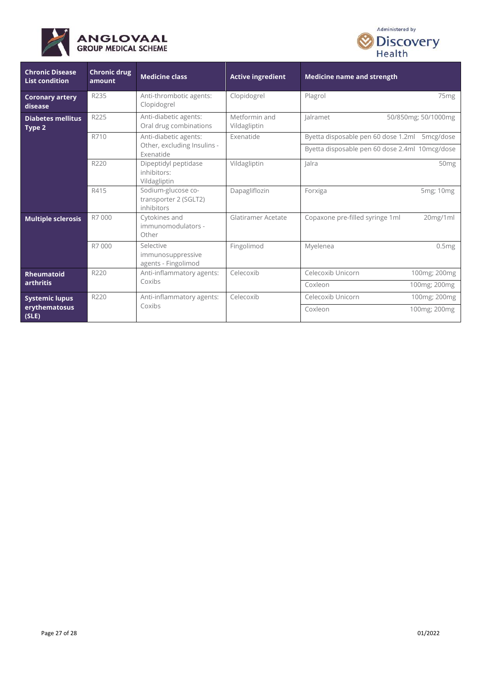



| <b>Chronic Disease</b><br><b>List condition</b> | <b>Chronic drug</b><br>amount | <b>Medicine class</b>                                             | <b>Active ingredient</b>      | <b>Medicine name and strength</b>              |
|-------------------------------------------------|-------------------------------|-------------------------------------------------------------------|-------------------------------|------------------------------------------------|
| <b>Coronary artery</b><br>disease               | R235                          | Anti-thrombotic agents:<br>Clopidogrel                            | Clopidogrel                   | Plagrol<br>75 <sub>mg</sub>                    |
| <b>Diabetes mellitus</b><br>Type 2              | R225                          | Anti-diabetic agents:<br>Oral drug combinations                   | Metformin and<br>Vildagliptin | lalramet<br>50/850mg; 50/1000mg                |
|                                                 | R710                          | Anti-diabetic agents:<br>Other, excluding Insulins -<br>Exenatide | Exenatide                     | Byetta disposable pen 60 dose 1.2ml 5mcg/dose  |
|                                                 |                               |                                                                   |                               | Byetta disposable pen 60 dose 2.4ml 10mcg/dose |
|                                                 | R220                          | Dipeptidyl peptidase<br>inhibitors:<br>Vildagliptin               | Vildagliptin                  | lalra<br>50 <sub>mg</sub>                      |
|                                                 | R415                          | Sodium-glucose co-<br>transporter 2 (SGLT2)<br>inhibitors         | Dapagliflozin                 | Forxiga<br>5mg; 10mg                           |
| <b>Multiple sclerosis</b>                       | R7000                         | Cytokines and<br>immunomodulators -<br>Other                      | Glatiramer Acetate            | Copaxone pre-filled syringe 1ml<br>20mg/1ml    |
|                                                 | R7000                         | Selective<br>immunosuppressive<br>agents - Fingolimod             | Fingolimod                    | Myelenea<br>0.5mg                              |
| <b>Rheumatoid</b><br><b>arthritis</b>           | R220                          | Anti-inflammatory agents:<br>Coxibs                               | Celecoxib                     | Celecoxib Unicorn<br>100mg; 200mg              |
|                                                 |                               |                                                                   |                               | Coxleon<br>100mg; 200mg                        |
| <b>Systemic lupus</b><br>erythematosus<br>(SLE) | R220                          | Anti-inflammatory agents:<br>Coxibs                               | Celecoxib                     | Celecoxib Unicorn<br>100mg; 200mg              |
|                                                 |                               |                                                                   |                               | Coxleon<br>100mg; 200mg                        |